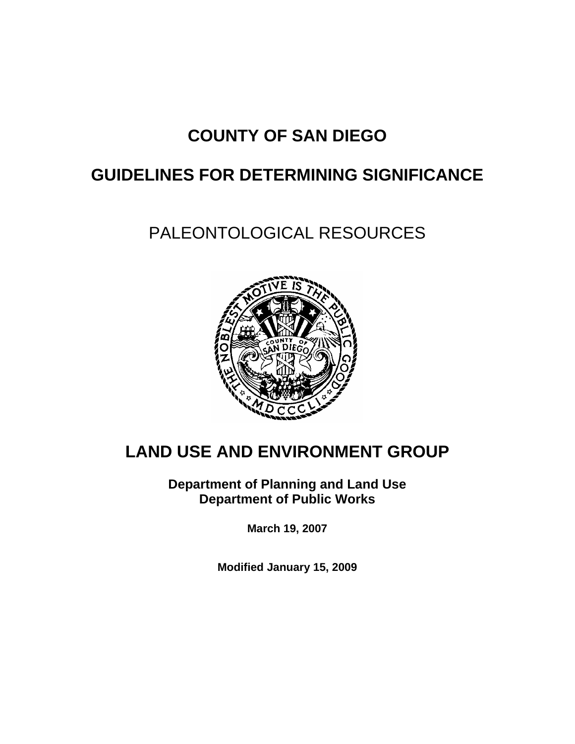# **COUNTY OF SAN DIEGO**

# **GUIDELINES FOR DETERMINING SIGNIFICANCE**

# PALEONTOLOGICAL RESOURCES



# **LAND USE AND ENVIRONMENT GROUP**

**Department of Planning and Land Use Department of Public Works** 

**March 19, 2007** 

**Modified January 15, 2009**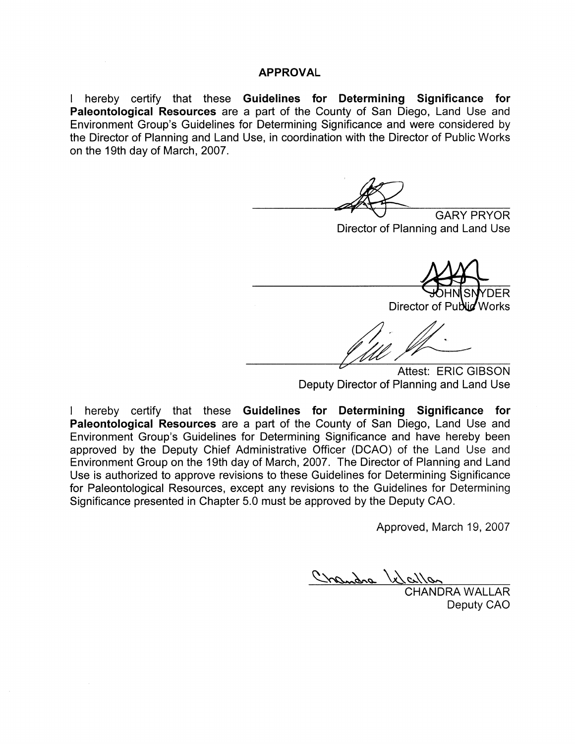#### **APPROVAL**

I hereby certify that these Guidelines for Determining Significance for Paleontological Resources are a part of the County of San Diego, Land Use and Environment Group's Guidelines for Determining Significance and were considered by the Director of Planning and Land Use, in coordination with the Director of Public Works on the 19th day of March, 2007.

**GARY PRYOR** 

Director of Planning and Land Use

**DER** 

Director of Public Works

Attest: ERIC GIBSON Deputy Director of Planning and Land Use

I hereby certify that these Guidelines for Determining Significance for Paleontological Resources are a part of the County of San Diego, Land Use and Environment Group's Guidelines for Determining Significance and have hereby been approved by the Deputy Chief Administrative Officer (DCAO) of the Land Use and Environment Group on the 19th day of March, 2007. The Director of Planning and Land Use is authorized to approve revisions to these Guidelines for Determining Significance for Paleontological Resources, except any revisions to the Guidelines for Determining Significance presented in Chapter 5.0 must be approved by the Deputy CAO.

Approved, March 19, 2007

Chandra Velalla

**CHANDRA WALLAR** Deputy CAO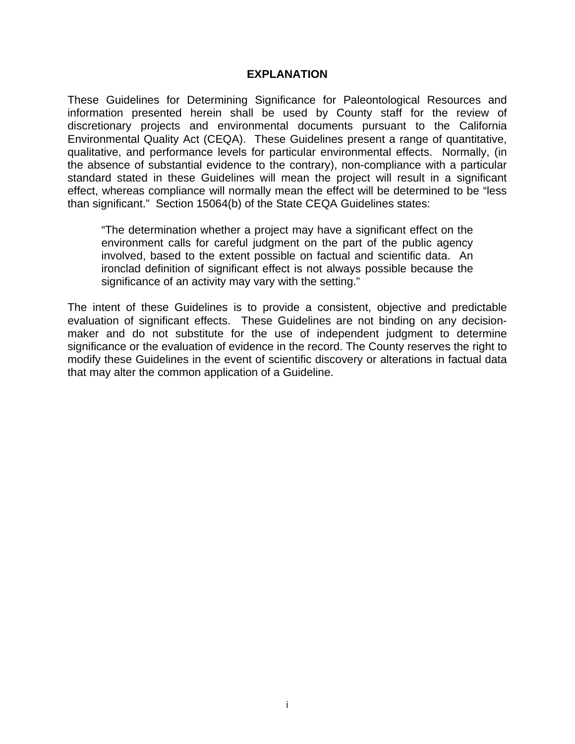#### **EXPLANATION**

These Guidelines for Determining Significance for Paleontological Resources and information presented herein shall be used by County staff for the review of discretionary projects and environmental documents pursuant to the California Environmental Quality Act (CEQA). These Guidelines present a range of quantitative, qualitative, and performance levels for particular environmental effects. Normally, (in the absence of substantial evidence to the contrary), non-compliance with a particular standard stated in these Guidelines will mean the project will result in a significant effect, whereas compliance will normally mean the effect will be determined to be "less than significant." Section 15064(b) of the State CEQA Guidelines states:

"The determination whether a project may have a significant effect on the environment calls for careful judgment on the part of the public agency involved, based to the extent possible on factual and scientific data. An ironclad definition of significant effect is not always possible because the significance of an activity may vary with the setting."

The intent of these Guidelines is to provide a consistent, objective and predictable evaluation of significant effects. These Guidelines are not binding on any decisionmaker and do not substitute for the use of independent judgment to determine significance or the evaluation of evidence in the record. The County reserves the right to modify these Guidelines in the event of scientific discovery or alterations in factual data that may alter the common application of a Guideline.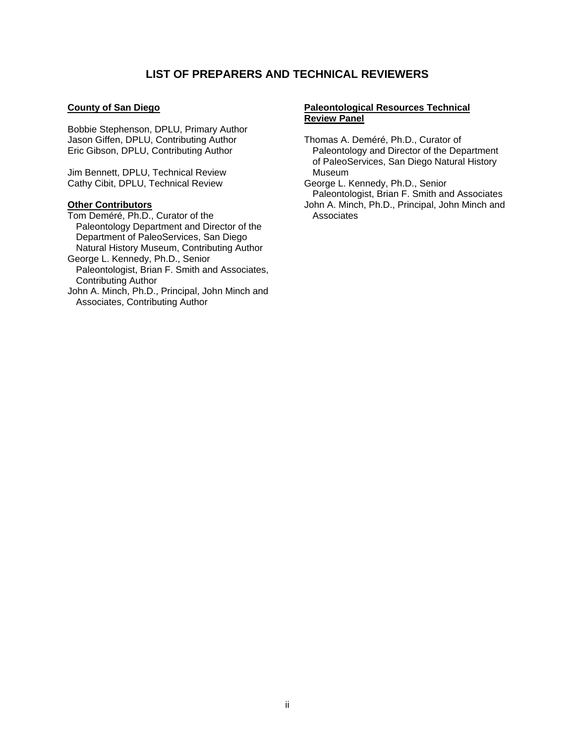#### **LIST OF PREPARERS AND TECHNICAL REVIEWERS**

#### **County of San Diego**

Bobbie Stephenson, DPLU, Primary Author Jason Giffen, DPLU, Contributing Author Eric Gibson, DPLU, Contributing Author

Jim Bennett, DPLU, Technical Review Cathy Cibit, DPLU, Technical Review

#### **Other Contributors**

Tom Deméré, Ph.D., Curator of the Paleontology Department and Director of the Department of PaleoServices, San Diego Natural History Museum, Contributing Author

George L. Kennedy, Ph.D., Senior Paleontologist, Brian F. Smith and Associates, Contributing Author

John A. Minch, Ph.D., Principal, John Minch and Associates, Contributing Author

#### **Paleontological Resources Technical Review Panel**

Thomas A. Deméré, Ph.D., Curator of Paleontology and Director of the Department of PaleoServices, San Diego Natural History Museum

George L. Kennedy, Ph.D., Senior Paleontologist, Brian F. Smith and Associates John A. Minch, Ph.D., Principal, John Minch and Associates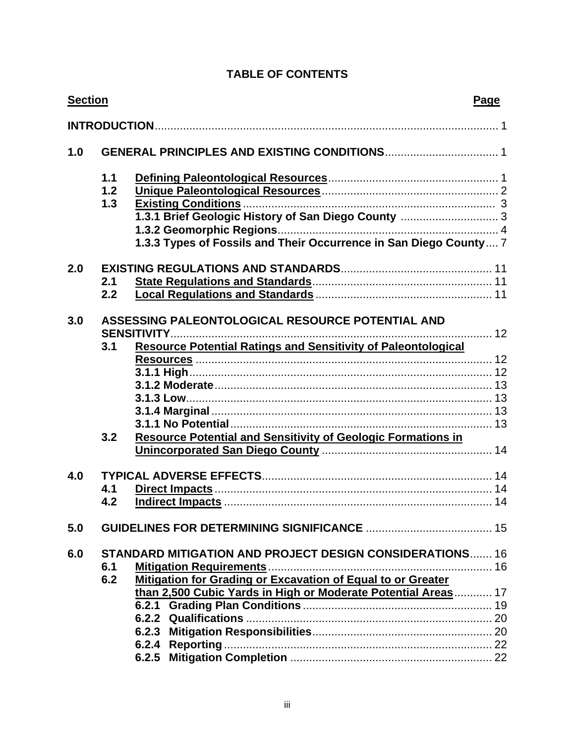## **TABLE OF CONTENTS**

| <b>Section</b> |                                                                                                                                                               | Page |  |
|----------------|---------------------------------------------------------------------------------------------------------------------------------------------------------------|------|--|
|                |                                                                                                                                                               |      |  |
| 1.0            |                                                                                                                                                               |      |  |
|                | 1.1<br>1.2<br>1.3<br>1.3.1 Brief Geologic History of San Diego County  3<br>1.3.3 Types of Fossils and Their Occurrence in San Diego County 7                 |      |  |
| 2.0<br>2.1     | 2.2                                                                                                                                                           |      |  |
| 3.0<br>3.1     | <b>ASSESSING PALEONTOLOGICAL RESOURCE POTENTIAL AND</b><br>. 12<br><b>SENSITIVITY</b><br><b>Resource Potential Ratings and Sensitivity of Paleontological</b> |      |  |
|                | <b>Resource Potential and Sensitivity of Geologic Formations in</b><br>3.2                                                                                    |      |  |
| 4.0<br>4.1     | 4.2                                                                                                                                                           |      |  |
| 5.0            |                                                                                                                                                               |      |  |
| 6.0<br>6.1     | <b>STANDARD MITIGATION AND PROJECT DESIGN CONSIDERATIONS 16</b><br>Mitigation for Grading or Excavation of Equal to or Greater<br>6.2                         |      |  |
|                | than 2,500 Cubic Yards in High or Moderate Potential Areas 17                                                                                                 |      |  |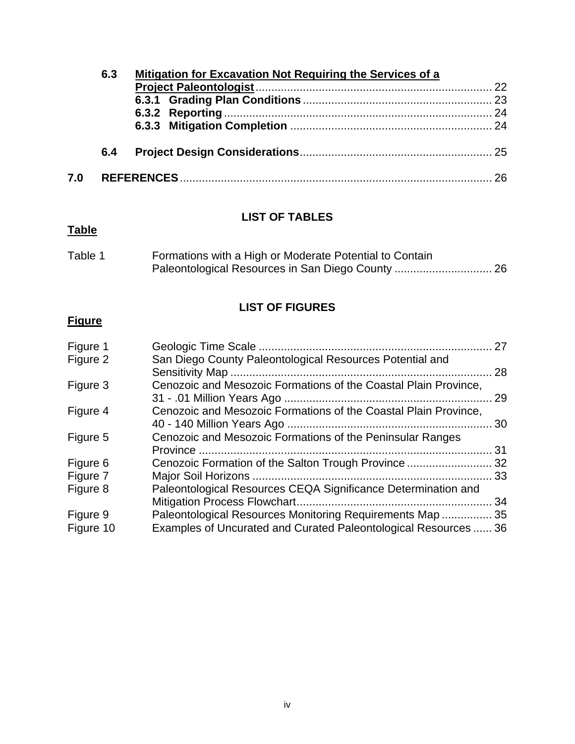| 6.3 |     | <b>Mitigation for Excavation Not Requiring the Services of a</b> |  |
|-----|-----|------------------------------------------------------------------|--|
|     |     |                                                                  |  |
|     |     |                                                                  |  |
|     |     |                                                                  |  |
|     |     |                                                                  |  |
|     | 6.4 |                                                                  |  |
| 7.0 |     |                                                                  |  |

### **LIST OF TABLES**

## **Table**

| Table 1 | Formations with a High or Moderate Potential to Contain |  |
|---------|---------------------------------------------------------|--|
|         |                                                         |  |

## **LIST OF FIGURES**

## **Figure**

| Figure 1              |                                                                                                                              | 27 |
|-----------------------|------------------------------------------------------------------------------------------------------------------------------|----|
| Figure 2              | San Diego County Paleontological Resources Potential and                                                                     | 28 |
| Figure 3              | Cenozoic and Mesozoic Formations of the Coastal Plain Province,                                                              | 29 |
| Figure 4              | Cenozoic and Mesozoic Formations of the Coastal Plain Province,                                                              | 30 |
| Figure 5              | Cenozoic and Mesozoic Formations of the Peninsular Ranges                                                                    | 31 |
| Figure 6              | Cenozoic Formation of the Salton Trough Province 32                                                                          |    |
| Figure 7              |                                                                                                                              |    |
| Figure 8              | Paleontological Resources CEQA Significance Determination and                                                                |    |
| Figure 9<br>Figure 10 | Paleontological Resources Monitoring Requirements Map  35<br>Examples of Uncurated and Curated Paleontological Resources  36 |    |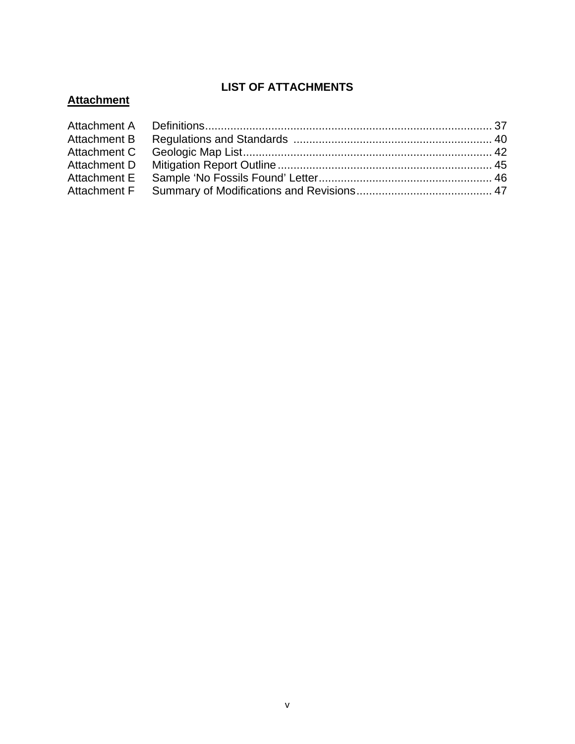## **LIST OF ATTACHMENTS**

## **Attachment**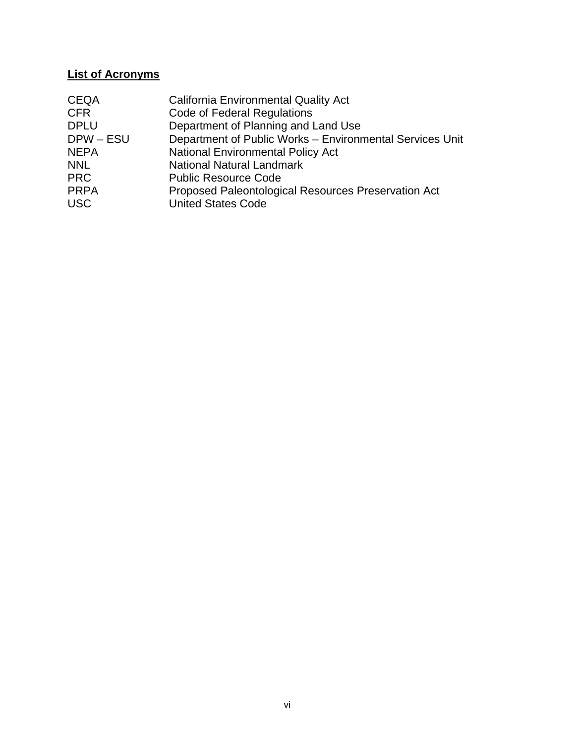### **List of Acronyms**

| <b>CEQA</b> | <b>California Environmental Quality Act</b>              |
|-------------|----------------------------------------------------------|
| <b>CFR</b>  | <b>Code of Federal Regulations</b>                       |
| <b>DPLU</b> | Department of Planning and Land Use                      |
| DPW-ESU     | Department of Public Works - Environmental Services Unit |
| <b>NEPA</b> | <b>National Environmental Policy Act</b>                 |
| <b>NNL</b>  | <b>National Natural Landmark</b>                         |
| <b>PRC</b>  | <b>Public Resource Code</b>                              |
| <b>PRPA</b> | Proposed Paleontological Resources Preservation Act      |
| <b>USC</b>  | <b>United States Code</b>                                |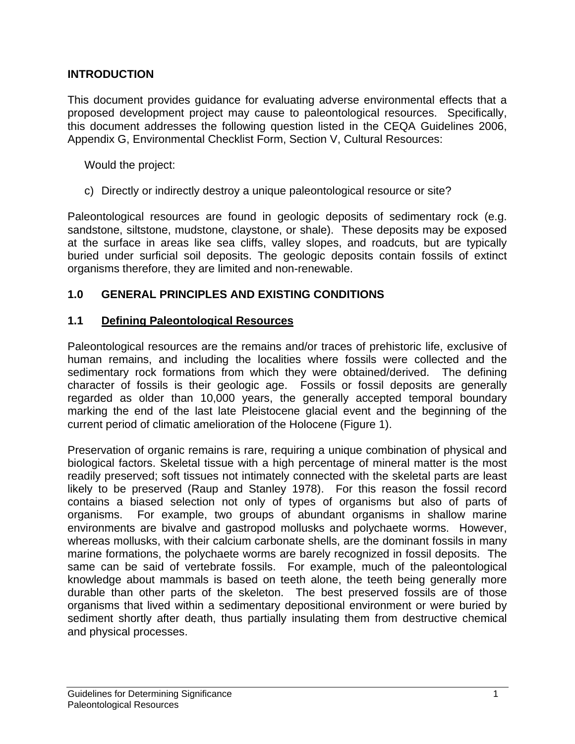#### **INTRODUCTION**

This document provides guidance for evaluating adverse environmental effects that a proposed development project may cause to paleontological resources. Specifically, this document addresses the following question listed in the CEQA Guidelines 2006, Appendix G, Environmental Checklist Form, Section V, Cultural Resources:

Would the project:

c) Directly or indirectly destroy a unique paleontological resource or site?

Paleontological resources are found in geologic deposits of sedimentary rock (e.g. sandstone, siltstone, mudstone, claystone, or shale). These deposits may be exposed at the surface in areas like sea cliffs, valley slopes, and roadcuts, but are typically buried under surficial soil deposits. The geologic deposits contain fossils of extinct organisms therefore, they are limited and non-renewable.

### **1.0 GENERAL PRINCIPLES AND EXISTING CONDITIONS**

#### **1.1 Defining Paleontological Resources**

Paleontological resources are the remains and/or traces of prehistoric life, exclusive of human remains, and including the localities where fossils were collected and the sedimentary rock formations from which they were obtained/derived. The defining character of fossils is their geologic age. Fossils or fossil deposits are generally regarded as older than 10,000 years, the generally accepted temporal boundary marking the end of the last late Pleistocene glacial event and the beginning of the current period of climatic amelioration of the Holocene (Figure 1).

Preservation of organic remains is rare, requiring a unique combination of physical and biological factors. Skeletal tissue with a high percentage of mineral matter is the most readily preserved; soft tissues not intimately connected with the skeletal parts are least likely to be preserved (Raup and Stanley 1978). For this reason the fossil record contains a biased selection not only of types of organisms but also of parts of organisms. For example, two groups of abundant organisms in shallow marine environments are bivalve and gastropod mollusks and polychaete worms. However, whereas mollusks, with their calcium carbonate shells, are the dominant fossils in many marine formations, the polychaete worms are barely recognized in fossil deposits. The same can be said of vertebrate fossils. For example, much of the paleontological knowledge about mammals is based on teeth alone, the teeth being generally more durable than other parts of the skeleton. The best preserved fossils are of those organisms that lived within a sedimentary depositional environment or were buried by sediment shortly after death, thus partially insulating them from destructive chemical and physical processes.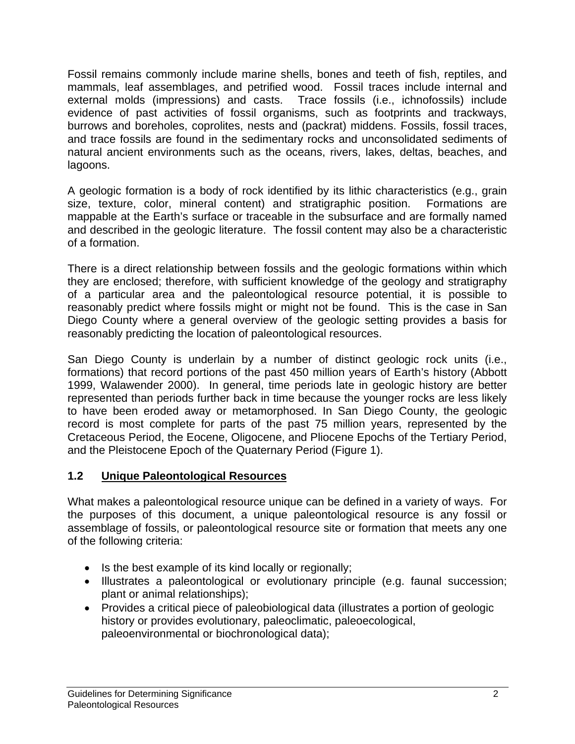Fossil remains commonly include marine shells, bones and teeth of fish, reptiles, and mammals, leaf assemblages, and petrified wood. Fossil traces include internal and external molds (impressions) and casts. Trace fossils (i.e., ichnofossils) include evidence of past activities of fossil organisms, such as footprints and trackways, burrows and boreholes, coprolites, nests and (packrat) middens. Fossils, fossil traces, and trace fossils are found in the sedimentary rocks and unconsolidated sediments of natural ancient environments such as the oceans, rivers, lakes, deltas, beaches, and lagoons.

A geologic formation is a body of rock identified by its lithic characteristics (e.g., grain size, texture, color, mineral content) and stratigraphic position. Formations are mappable at the Earth's surface or traceable in the subsurface and are formally named and described in the geologic literature. The fossil content may also be a characteristic of a formation.

There is a direct relationship between fossils and the geologic formations within which they are enclosed; therefore, with sufficient knowledge of the geology and stratigraphy of a particular area and the paleontological resource potential, it is possible to reasonably predict where fossils might or might not be found. This is the case in San Diego County where a general overview of the geologic setting provides a basis for reasonably predicting the location of paleontological resources.

San Diego County is underlain by a number of distinct geologic rock units (i.e., formations) that record portions of the past 450 million years of Earth's history (Abbott 1999, Walawender 2000). In general, time periods late in geologic history are better represented than periods further back in time because the younger rocks are less likely to have been eroded away or metamorphosed. In San Diego County, the geologic record is most complete for parts of the past 75 million years, represented by the Cretaceous Period, the Eocene, Oligocene, and Pliocene Epochs of the Tertiary Period, and the Pleistocene Epoch of the Quaternary Period (Figure 1).

### **1.2 Unique Paleontological Resources**

What makes a paleontological resource unique can be defined in a variety of ways. For the purposes of this document, a unique paleontological resource is any fossil or assemblage of fossils, or paleontological resource site or formation that meets any one of the following criteria:

- Is the best example of its kind locally or regionally;
- Illustrates a paleontological or evolutionary principle (e.g. faunal succession; plant or animal relationships);
- Provides a critical piece of paleobiological data (illustrates a portion of geologic history or provides evolutionary, paleoclimatic, paleoecological, paleoenvironmental or biochronological data);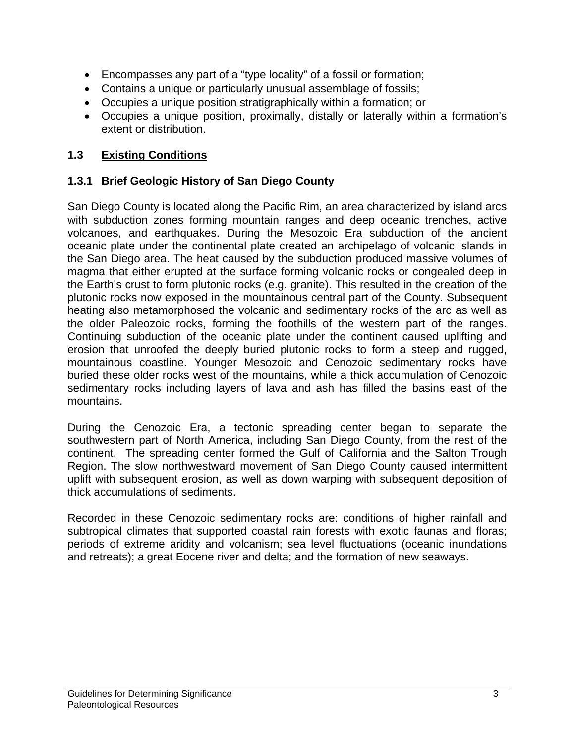- Encompasses any part of a "type locality" of a fossil or formation;
- Contains a unique or particularly unusual assemblage of fossils;
- Occupies a unique position stratigraphically within a formation; or
- Occupies a unique position, proximally, distally or laterally within a formation's extent or distribution.

### **1.3 Existing Conditions**

#### **1.3.1 Brief Geologic History of San Diego County**

San Diego County is located along the Pacific Rim, an area characterized by island arcs with subduction zones forming mountain ranges and deep oceanic trenches, active volcanoes, and earthquakes. During the Mesozoic Era subduction of the ancient oceanic plate under the continental plate created an archipelago of volcanic islands in the San Diego area. The heat caused by the subduction produced massive volumes of magma that either erupted at the surface forming volcanic rocks or congealed deep in the Earth's crust to form plutonic rocks (e.g. granite). This resulted in the creation of the plutonic rocks now exposed in the mountainous central part of the County. Subsequent heating also metamorphosed the volcanic and sedimentary rocks of the arc as well as the older Paleozoic rocks, forming the foothills of the western part of the ranges. Continuing subduction of the oceanic plate under the continent caused uplifting and erosion that unroofed the deeply buried plutonic rocks to form a steep and rugged, mountainous coastline. Younger Mesozoic and Cenozoic sedimentary rocks have buried these older rocks west of the mountains, while a thick accumulation of Cenozoic sedimentary rocks including layers of lava and ash has filled the basins east of the mountains.

During the Cenozoic Era, a tectonic spreading center began to separate the southwestern part of North America, including San Diego County, from the rest of the continent. The spreading center formed the Gulf of California and the Salton Trough Region. The slow northwestward movement of San Diego County caused intermittent uplift with subsequent erosion, as well as down warping with subsequent deposition of thick accumulations of sediments.

Recorded in these Cenozoic sedimentary rocks are: conditions of higher rainfall and subtropical climates that supported coastal rain forests with exotic faunas and floras; periods of extreme aridity and volcanism; sea level fluctuations (oceanic inundations and retreats); a great Eocene river and delta; and the formation of new seaways.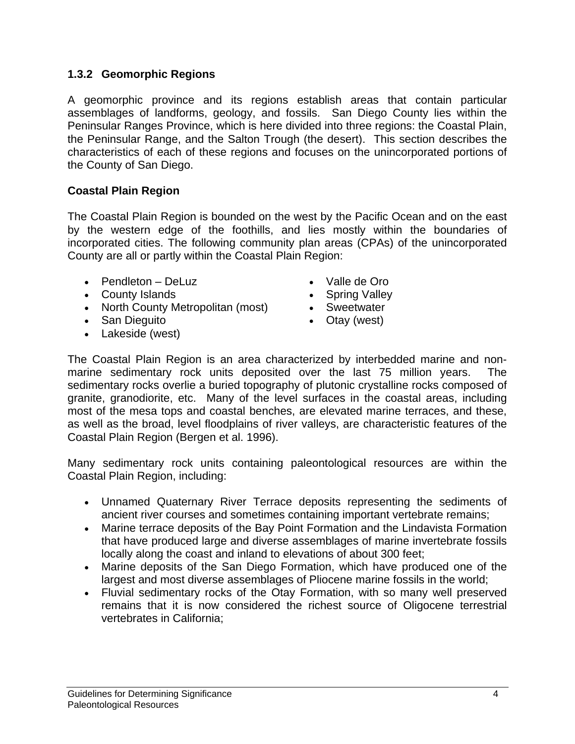#### **1.3.2 Geomorphic Regions**

A geomorphic province and its regions establish areas that contain particular assemblages of landforms, geology, and fossils. San Diego County lies within the Peninsular Ranges Province, which is here divided into three regions: the Coastal Plain, the Peninsular Range, and the Salton Trough (the desert). This section describes the characteristics of each of these regions and focuses on the unincorporated portions of the County of San Diego.

#### **Coastal Plain Region**

The Coastal Plain Region is bounded on the west by the Pacific Ocean and on the east by the western edge of the foothills, and lies mostly within the boundaries of incorporated cities. The following community plan areas (CPAs) of the unincorporated County are all or partly within the Coastal Plain Region:

- Pendleton DeLuz Valle de Oro
- County Islands Spring Valley
- North County Metropolitan (most) Sweetwater
- San Dieguito  **Changeler** Otay (west)
- Lakeside (west)
- 
- 
- 
- 

The Coastal Plain Region is an area characterized by interbedded marine and nonmarine sedimentary rock units deposited over the last 75 million years. The sedimentary rocks overlie a buried topography of plutonic crystalline rocks composed of granite, granodiorite, etc. Many of the level surfaces in the coastal areas, including most of the mesa tops and coastal benches, are elevated marine terraces, and these, as well as the broad, level floodplains of river valleys, are characteristic features of the Coastal Plain Region (Bergen et al. 1996).

Many sedimentary rock units containing paleontological resources are within the Coastal Plain Region, including:

- Unnamed Quaternary River Terrace deposits representing the sediments of ancient river courses and sometimes containing important vertebrate remains;
- Marine terrace deposits of the Bay Point Formation and the Lindavista Formation that have produced large and diverse assemblages of marine invertebrate fossils locally along the coast and inland to elevations of about 300 feet;
- Marine deposits of the San Diego Formation, which have produced one of the largest and most diverse assemblages of Pliocene marine fossils in the world;
- Fluvial sedimentary rocks of the Otay Formation, with so many well preserved remains that it is now considered the richest source of Oligocene terrestrial vertebrates in California;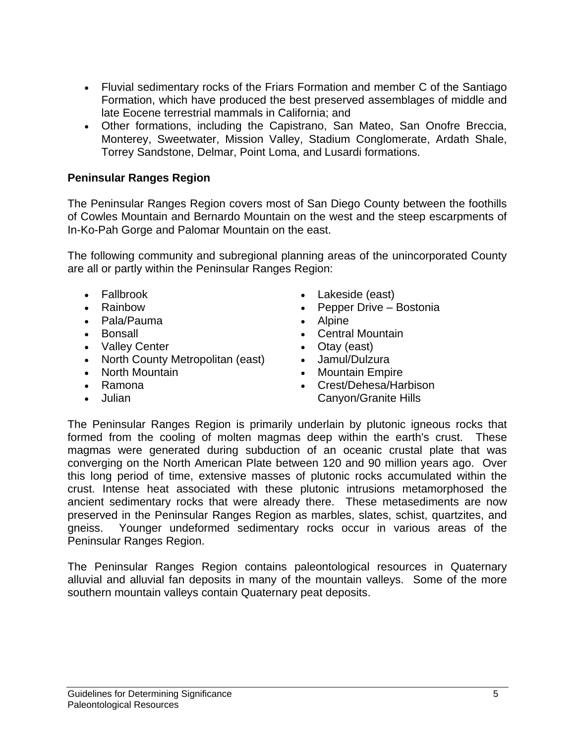- Fluvial sedimentary rocks of the Friars Formation and member C of the Santiago Formation, which have produced the best preserved assemblages of middle and late Eocene terrestrial mammals in California; and
- Other formations, including the Capistrano, San Mateo, San Onofre Breccia, Monterey, Sweetwater, Mission Valley, Stadium Conglomerate, Ardath Shale, Torrey Sandstone, Delmar, Point Loma, and Lusardi formations.

#### **Peninsular Ranges Region**

The Peninsular Ranges Region covers most of San Diego County between the foothills of Cowles Mountain and Bernardo Mountain on the west and the steep escarpments of In-Ko-Pah Gorge and Palomar Mountain on the east.

The following community and subregional planning areas of the unincorporated County are all or partly within the Peninsular Ranges Region:

- 
- 
- Pala/Pauma Alpine
- 
- Valley Center Otay (east)
- North County Metropolitan (east) Jamul/Dulzura
- 
- Ramona
- Julian
- Fallbrook Lakeside (east)
- Rainbow Pepper Drive Bostonia
	-
- Bonsall  **Central Mountain** 
	-
	-
- North Mountain  **Mountain Empire** 
	- Crest/Dehesa/Harbison Canyon/Granite Hills

The Peninsular Ranges Region is primarily underlain by plutonic igneous rocks that formed from the cooling of molten magmas deep within the earth's crust. These magmas were generated during subduction of an oceanic crustal plate that was converging on the North American Plate between 120 and 90 million years ago. Over this long period of time, extensive masses of plutonic rocks accumulated within the crust. Intense heat associated with these plutonic intrusions metamorphosed the ancient sedimentary rocks that were already there. These metasediments are now preserved in the Peninsular Ranges Region as marbles, slates, schist, quartzites, and gneiss. Younger undeformed sedimentary rocks occur in various areas of the Peninsular Ranges Region.

The Peninsular Ranges Region contains paleontological resources in Quaternary alluvial and alluvial fan deposits in many of the mountain valleys. Some of the more southern mountain valleys contain Quaternary peat deposits.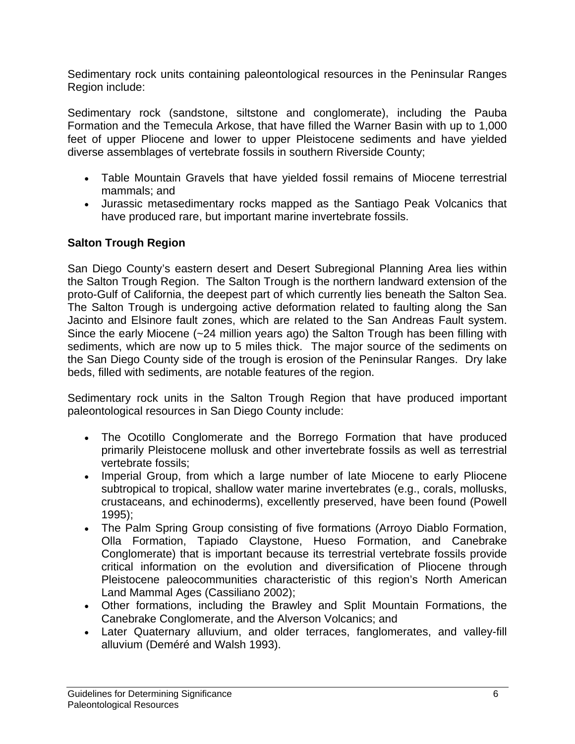Sedimentary rock units containing paleontological resources in the Peninsular Ranges Region include:

Sedimentary rock (sandstone, siltstone and conglomerate), including the Pauba Formation and the Temecula Arkose, that have filled the Warner Basin with up to 1,000 feet of upper Pliocene and lower to upper Pleistocene sediments and have yielded diverse assemblages of vertebrate fossils in southern Riverside County;

- Table Mountain Gravels that have yielded fossil remains of Miocene terrestrial mammals; and
- Jurassic metasedimentary rocks mapped as the Santiago Peak Volcanics that have produced rare, but important marine invertebrate fossils.

### **Salton Trough Region**

San Diego County's eastern desert and Desert Subregional Planning Area lies within the Salton Trough Region. The Salton Trough is the northern landward extension of the proto-Gulf of California, the deepest part of which currently lies beneath the Salton Sea. The Salton Trough is undergoing active deformation related to faulting along the San Jacinto and Elsinore fault zones, which are related to the San Andreas Fault system. Since the early Miocene (~24 million years ago) the Salton Trough has been filling with sediments, which are now up to 5 miles thick. The major source of the sediments on the San Diego County side of the trough is erosion of the Peninsular Ranges. Dry lake beds, filled with sediments, are notable features of the region.

Sedimentary rock units in the Salton Trough Region that have produced important paleontological resources in San Diego County include:

- The Ocotillo Conglomerate and the Borrego Formation that have produced primarily Pleistocene mollusk and other invertebrate fossils as well as terrestrial vertebrate fossils;
- Imperial Group, from which a large number of late Miocene to early Pliocene subtropical to tropical, shallow water marine invertebrates (e.g., corals, mollusks, crustaceans, and echinoderms), excellently preserved, have been found (Powell 1995);
- The Palm Spring Group consisting of five formations (Arroyo Diablo Formation, Olla Formation, Tapiado Claystone, Hueso Formation, and Canebrake Conglomerate) that is important because its terrestrial vertebrate fossils provide critical information on the evolution and diversification of Pliocene through Pleistocene paleocommunities characteristic of this region's North American Land Mammal Ages (Cassiliano 2002);
- Other formations, including the Brawley and Split Mountain Formations, the Canebrake Conglomerate, and the Alverson Volcanics; and
- Later Quaternary alluvium, and older terraces, fanglomerates, and valley-fill alluvium (Deméré and Walsh 1993).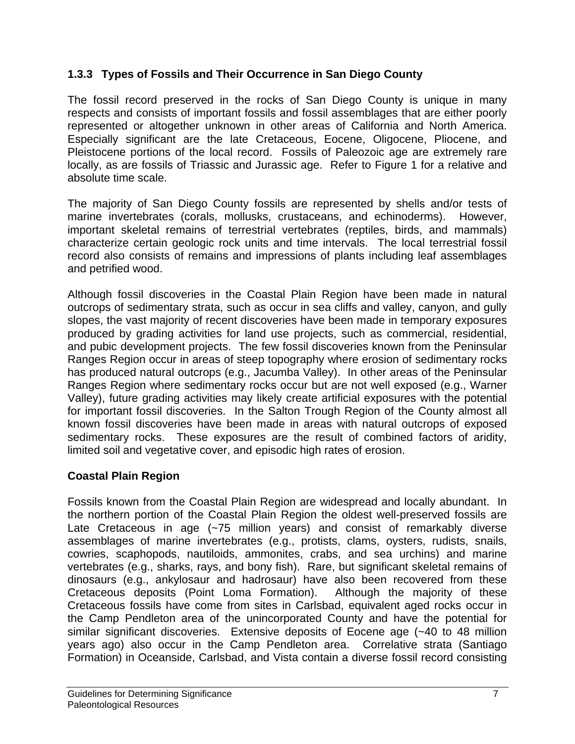### **1.3.3 Types of Fossils and Their Occurrence in San Diego County**

The fossil record preserved in the rocks of San Diego County is unique in many respects and consists of important fossils and fossil assemblages that are either poorly represented or altogether unknown in other areas of California and North America. Especially significant are the late Cretaceous, Eocene, Oligocene, Pliocene, and Pleistocene portions of the local record. Fossils of Paleozoic age are extremely rare locally, as are fossils of Triassic and Jurassic age. Refer to Figure 1 for a relative and absolute time scale.

The majority of San Diego County fossils are represented by shells and/or tests of marine invertebrates (corals, mollusks, crustaceans, and echinoderms). However, important skeletal remains of terrestrial vertebrates (reptiles, birds, and mammals) characterize certain geologic rock units and time intervals. The local terrestrial fossil record also consists of remains and impressions of plants including leaf assemblages and petrified wood.

Although fossil discoveries in the Coastal Plain Region have been made in natural outcrops of sedimentary strata, such as occur in sea cliffs and valley, canyon, and gully slopes, the vast majority of recent discoveries have been made in temporary exposures produced by grading activities for land use projects, such as commercial, residential, and pubic development projects. The few fossil discoveries known from the Peninsular Ranges Region occur in areas of steep topography where erosion of sedimentary rocks has produced natural outcrops (e.g., Jacumba Valley). In other areas of the Peninsular Ranges Region where sedimentary rocks occur but are not well exposed (e.g., Warner Valley), future grading activities may likely create artificial exposures with the potential for important fossil discoveries. In the Salton Trough Region of the County almost all known fossil discoveries have been made in areas with natural outcrops of exposed sedimentary rocks. These exposures are the result of combined factors of aridity, limited soil and vegetative cover, and episodic high rates of erosion.

### **Coastal Plain Region**

Fossils known from the Coastal Plain Region are widespread and locally abundant. In the northern portion of the Coastal Plain Region the oldest well-preserved fossils are Late Cretaceous in age (~75 million years) and consist of remarkably diverse assemblages of marine invertebrates (e.g., protists, clams, oysters, rudists, snails, cowries, scaphopods, nautiloids, ammonites, crabs, and sea urchins) and marine vertebrates (e.g., sharks, rays, and bony fish). Rare, but significant skeletal remains of dinosaurs (e.g., ankylosaur and hadrosaur) have also been recovered from these Cretaceous deposits (Point Loma Formation). Although the majority of these Cretaceous fossils have come from sites in Carlsbad, equivalent aged rocks occur in the Camp Pendleton area of the unincorporated County and have the potential for similar significant discoveries. Extensive deposits of Eocene age (~40 to 48 million years ago) also occur in the Camp Pendleton area. Correlative strata (Santiago Formation) in Oceanside, Carlsbad, and Vista contain a diverse fossil record consisting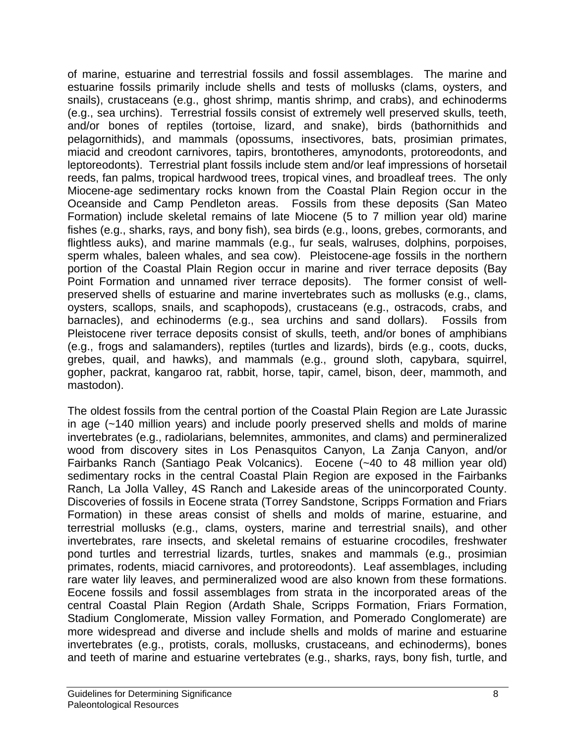of marine, estuarine and terrestrial fossils and fossil assemblages. The marine and estuarine fossils primarily include shells and tests of mollusks (clams, oysters, and snails), crustaceans (e.g., ghost shrimp, mantis shrimp, and crabs), and echinoderms (e.g., sea urchins). Terrestrial fossils consist of extremely well preserved skulls, teeth, and/or bones of reptiles (tortoise, lizard, and snake), birds (bathornithids and pelagornithids), and mammals (opossums, insectivores, bats, prosimian primates, miacid and creodont carnivores, tapirs, brontotheres, amynodonts, protoreodonts, and leptoreodonts). Terrestrial plant fossils include stem and/or leaf impressions of horsetail reeds, fan palms, tropical hardwood trees, tropical vines, and broadleaf trees. The only Miocene-age sedimentary rocks known from the Coastal Plain Region occur in the Oceanside and Camp Pendleton areas. Fossils from these deposits (San Mateo Formation) include skeletal remains of late Miocene (5 to 7 million year old) marine fishes (e.g., sharks, rays, and bony fish), sea birds (e.g., loons, grebes, cormorants, and flightless auks), and marine mammals (e.g., fur seals, walruses, dolphins, porpoises, sperm whales, baleen whales, and sea cow). Pleistocene-age fossils in the northern portion of the Coastal Plain Region occur in marine and river terrace deposits (Bay Point Formation and unnamed river terrace deposits). The former consist of wellpreserved shells of estuarine and marine invertebrates such as mollusks (e.g., clams, oysters, scallops, snails, and scaphopods), crustaceans (e.g., ostracods, crabs, and barnacles), and echinoderms (e.g., sea urchins and sand dollars). Fossils from Pleistocene river terrace deposits consist of skulls, teeth, and/or bones of amphibians (e.g., frogs and salamanders), reptiles (turtles and lizards), birds (e.g., coots, ducks, grebes, quail, and hawks), and mammals (e.g., ground sloth, capybara, squirrel, gopher, packrat, kangaroo rat, rabbit, horse, tapir, camel, bison, deer, mammoth, and mastodon).

The oldest fossils from the central portion of the Coastal Plain Region are Late Jurassic in age (~140 million years) and include poorly preserved shells and molds of marine invertebrates (e.g., radiolarians, belemnites, ammonites, and clams) and permineralized wood from discovery sites in Los Penasquitos Canyon, La Zanja Canyon, and/or Fairbanks Ranch (Santiago Peak Volcanics). Eocene (~40 to 48 million year old) sedimentary rocks in the central Coastal Plain Region are exposed in the Fairbanks Ranch, La Jolla Valley, 4S Ranch and Lakeside areas of the unincorporated County. Discoveries of fossils in Eocene strata (Torrey Sandstone, Scripps Formation and Friars Formation) in these areas consist of shells and molds of marine, estuarine, and terrestrial mollusks (e.g., clams, oysters, marine and terrestrial snails), and other invertebrates, rare insects, and skeletal remains of estuarine crocodiles, freshwater pond turtles and terrestrial lizards, turtles, snakes and mammals (e.g., prosimian primates, rodents, miacid carnivores, and protoreodonts). Leaf assemblages, including rare water lily leaves, and permineralized wood are also known from these formations. Eocene fossils and fossil assemblages from strata in the incorporated areas of the central Coastal Plain Region (Ardath Shale, Scripps Formation, Friars Formation, Stadium Conglomerate, Mission valley Formation, and Pomerado Conglomerate) are more widespread and diverse and include shells and molds of marine and estuarine invertebrates (e.g., protists, corals, mollusks, crustaceans, and echinoderms), bones and teeth of marine and estuarine vertebrates (e.g., sharks, rays, bony fish, turtle, and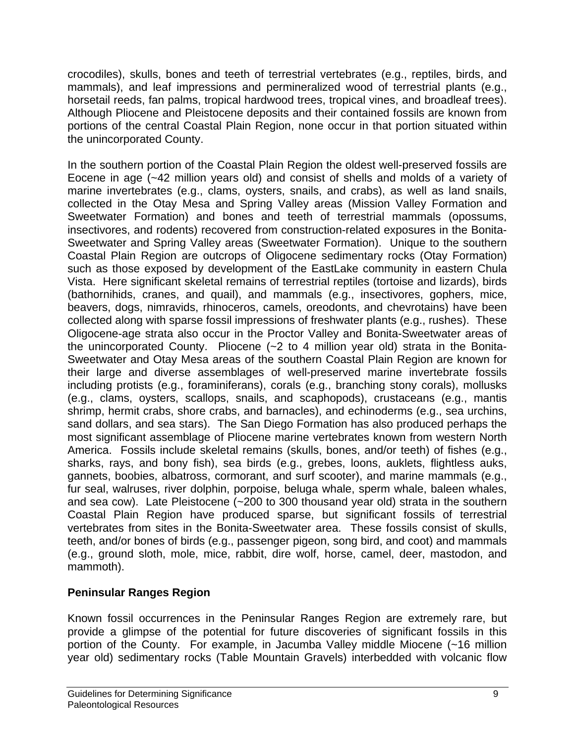crocodiles), skulls, bones and teeth of terrestrial vertebrates (e.g., reptiles, birds, and mammals), and leaf impressions and permineralized wood of terrestrial plants (e.g., horsetail reeds, fan palms, tropical hardwood trees, tropical vines, and broadleaf trees). Although Pliocene and Pleistocene deposits and their contained fossils are known from portions of the central Coastal Plain Region, none occur in that portion situated within the unincorporated County.

In the southern portion of the Coastal Plain Region the oldest well-preserved fossils are Eocene in age (~42 million years old) and consist of shells and molds of a variety of marine invertebrates (e.g., clams, oysters, snails, and crabs), as well as land snails, collected in the Otay Mesa and Spring Valley areas (Mission Valley Formation and Sweetwater Formation) and bones and teeth of terrestrial mammals (opossums, insectivores, and rodents) recovered from construction-related exposures in the Bonita-Sweetwater and Spring Valley areas (Sweetwater Formation). Unique to the southern Coastal Plain Region are outcrops of Oligocene sedimentary rocks (Otay Formation) such as those exposed by development of the EastLake community in eastern Chula Vista. Here significant skeletal remains of terrestrial reptiles (tortoise and lizards), birds (bathornihids, cranes, and quail), and mammals (e.g., insectivores, gophers, mice, beavers, dogs, nimravids, rhinoceros, camels, oreodonts, and chevrotains) have been collected along with sparse fossil impressions of freshwater plants (e.g., rushes). These Oligocene-age strata also occur in the Proctor Valley and Bonita-Sweetwater areas of the unincorporated County. Pliocene (~2 to 4 million year old) strata in the Bonita-Sweetwater and Otay Mesa areas of the southern Coastal Plain Region are known for their large and diverse assemblages of well-preserved marine invertebrate fossils including protists (e.g., foraminiferans), corals (e.g., branching stony corals), mollusks (e.g., clams, oysters, scallops, snails, and scaphopods), crustaceans (e.g., mantis shrimp, hermit crabs, shore crabs, and barnacles), and echinoderms (e.g., sea urchins, sand dollars, and sea stars). The San Diego Formation has also produced perhaps the most significant assemblage of Pliocene marine vertebrates known from western North America. Fossils include skeletal remains (skulls, bones, and/or teeth) of fishes (e.g., sharks, rays, and bony fish), sea birds (e.g., grebes, loons, auklets, flightless auks, gannets, boobies, albatross, cormorant, and surf scooter), and marine mammals (e.g., fur seal, walruses, river dolphin, porpoise, beluga whale, sperm whale, baleen whales, and sea cow). Late Pleistocene (~200 to 300 thousand year old) strata in the southern Coastal Plain Region have produced sparse, but significant fossils of terrestrial vertebrates from sites in the Bonita-Sweetwater area. These fossils consist of skulls, teeth, and/or bones of birds (e.g., passenger pigeon, song bird, and coot) and mammals (e.g., ground sloth, mole, mice, rabbit, dire wolf, horse, camel, deer, mastodon, and mammoth).

### **Peninsular Ranges Region**

Known fossil occurrences in the Peninsular Ranges Region are extremely rare, but provide a glimpse of the potential for future discoveries of significant fossils in this portion of the County. For example, in Jacumba Valley middle Miocene (~16 million year old) sedimentary rocks (Table Mountain Gravels) interbedded with volcanic flow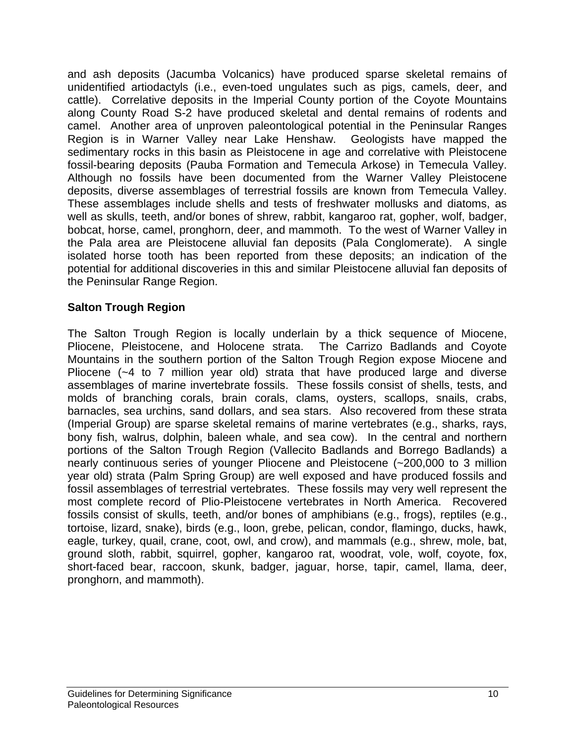and ash deposits (Jacumba Volcanics) have produced sparse skeletal remains of unidentified artiodactyls (i.e., even-toed ungulates such as pigs, camels, deer, and cattle). Correlative deposits in the Imperial County portion of the Coyote Mountains along County Road S-2 have produced skeletal and dental remains of rodents and camel. Another area of unproven paleontological potential in the Peninsular Ranges Region is in Warner Valley near Lake Henshaw. Geologists have mapped the sedimentary rocks in this basin as Pleistocene in age and correlative with Pleistocene fossil-bearing deposits (Pauba Formation and Temecula Arkose) in Temecula Valley. Although no fossils have been documented from the Warner Valley Pleistocene deposits, diverse assemblages of terrestrial fossils are known from Temecula Valley. These assemblages include shells and tests of freshwater mollusks and diatoms, as well as skulls, teeth, and/or bones of shrew, rabbit, kangaroo rat, gopher, wolf, badger, bobcat, horse, camel, pronghorn, deer, and mammoth. To the west of Warner Valley in the Pala area are Pleistocene alluvial fan deposits (Pala Conglomerate). A single isolated horse tooth has been reported from these deposits; an indication of the potential for additional discoveries in this and similar Pleistocene alluvial fan deposits of the Peninsular Range Region.

#### **Salton Trough Region**

The Salton Trough Region is locally underlain by a thick sequence of Miocene, Pliocene, Pleistocene, and Holocene strata. The Carrizo Badlands and Coyote Mountains in the southern portion of the Salton Trough Region expose Miocene and Pliocene (~4 to 7 million year old) strata that have produced large and diverse assemblages of marine invertebrate fossils. These fossils consist of shells, tests, and molds of branching corals, brain corals, clams, oysters, scallops, snails, crabs, barnacles, sea urchins, sand dollars, and sea stars. Also recovered from these strata (Imperial Group) are sparse skeletal remains of marine vertebrates (e.g., sharks, rays, bony fish, walrus, dolphin, baleen whale, and sea cow). In the central and northern portions of the Salton Trough Region (Vallecito Badlands and Borrego Badlands) a nearly continuous series of younger Pliocene and Pleistocene (~200,000 to 3 million year old) strata (Palm Spring Group) are well exposed and have produced fossils and fossil assemblages of terrestrial vertebrates. These fossils may very well represent the most complete record of Plio-Pleistocene vertebrates in North America. Recovered fossils consist of skulls, teeth, and/or bones of amphibians (e.g., frogs), reptiles (e.g., tortoise, lizard, snake), birds (e.g., loon, grebe, pelican, condor, flamingo, ducks, hawk, eagle, turkey, quail, crane, coot, owl, and crow), and mammals (e.g., shrew, mole, bat, ground sloth, rabbit, squirrel, gopher, kangaroo rat, woodrat, vole, wolf, coyote, fox, short-faced bear, raccoon, skunk, badger, jaguar, horse, tapir, camel, llama, deer, pronghorn, and mammoth).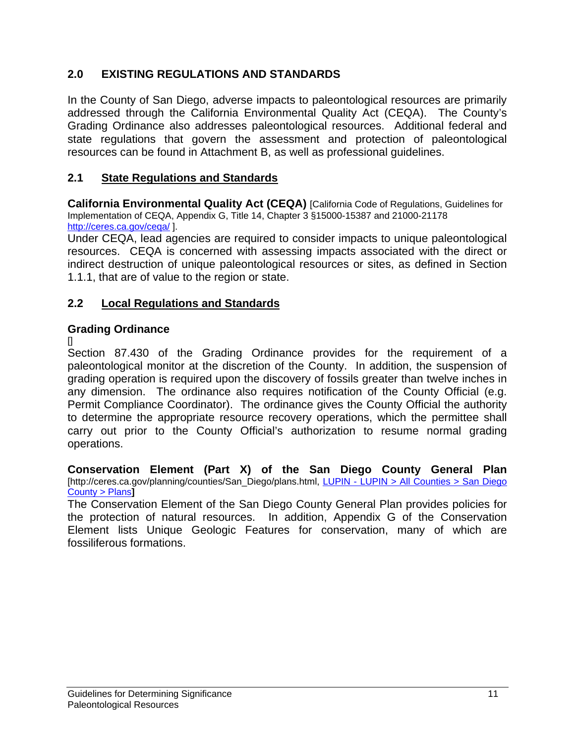## **2.0 EXISTING REGULATIONS AND STANDARDS**

In the County of San Diego, adverse impacts to paleontological resources are primarily addressed through the California Environmental Quality Act (CEQA). The County's Grading Ordinance also addresses paleontological resources. Additional federal and state regulations that govern the assessment and protection of paleontological resources can be found in Attachment B, as well as professional guidelines.

### **2.1 State Regulations and Standards**

**California Environmental Quality Act (CEQA)** [California Code of Regulations, Guidelines for Implementation of CEQA, Appendix G, Title 14, Chapter 3 §15000-15387 and 21000-21178 http://ceres.ca.gov/ceqa/ ].

Under CEQA, lead agencies are required to consider impacts to unique paleontological resources. CEQA is concerned with assessing impacts associated with the direct or indirect destruction of unique paleontological resources or sites, as defined in Section 1.1.1, that are of value to the region or state.

### **2.2 Local Regulations and Standards**

### **Grading Ordinance**

 $\Box$ 

Section 87.430 of the Grading Ordinance provides for the requirement of a paleontological monitor at the discretion of the County. In addition, the suspension of grading operation is required upon the discovery of fossils greater than twelve inches in any dimension. The ordinance also requires notification of the County Official (e.g. Permit Compliance Coordinator). The ordinance gives the County Official the authority to determine the appropriate resource recovery operations, which the permittee shall carry out prior to the County Official's authorization to resume normal grading operations.

**Conservation Element (Part X) of the San Diego County General Plan**  [http://ceres.ca.gov/planning/counties/San\_Diego/plans.html, LUPIN - LUPIN > All Counties > San Diego County > Plans**]** 

The Conservation Element of the San Diego County General Plan provides policies for the protection of natural resources. In addition, Appendix G of the Conservation Element lists Unique Geologic Features for conservation, many of which are fossiliferous formations.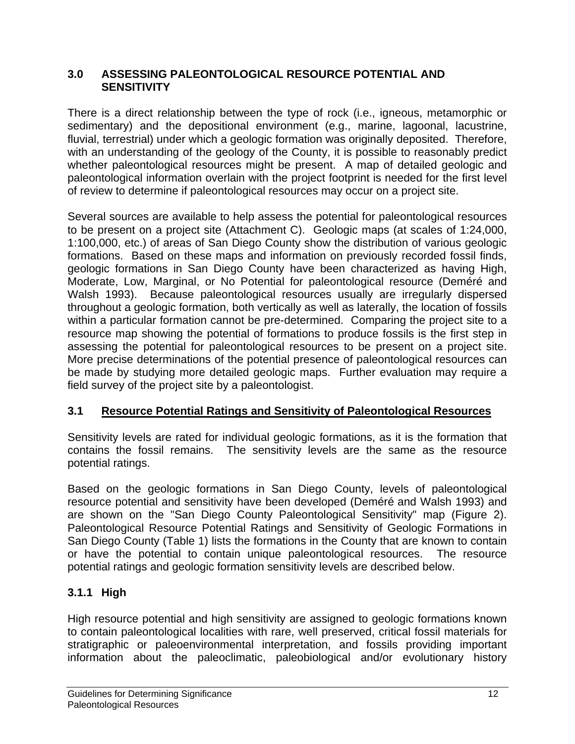#### **3.0 ASSESSING PALEONTOLOGICAL RESOURCE POTENTIAL AND SENSITIVITY**

There is a direct relationship between the type of rock (i.e., igneous, metamorphic or sedimentary) and the depositional environment (e.g., marine, lagoonal, lacustrine, fluvial, terrestrial) under which a geologic formation was originally deposited. Therefore, with an understanding of the geology of the County, it is possible to reasonably predict whether paleontological resources might be present. A map of detailed geologic and paleontological information overlain with the project footprint is needed for the first level of review to determine if paleontological resources may occur on a project site.

Several sources are available to help assess the potential for paleontological resources to be present on a project site (Attachment C). Geologic maps (at scales of 1:24,000, 1:100,000, etc.) of areas of San Diego County show the distribution of various geologic formations. Based on these maps and information on previously recorded fossil finds, geologic formations in San Diego County have been characterized as having High, Moderate, Low, Marginal, or No Potential for paleontological resource (Deméré and Walsh 1993). Because paleontological resources usually are irregularly dispersed throughout a geologic formation, both vertically as well as laterally, the location of fossils within a particular formation cannot be pre-determined. Comparing the project site to a resource map showing the potential of formations to produce fossils is the first step in assessing the potential for paleontological resources to be present on a project site. More precise determinations of the potential presence of paleontological resources can be made by studying more detailed geologic maps. Further evaluation may require a field survey of the project site by a paleontologist.

## **3.1 Resource Potential Ratings and Sensitivity of Paleontological Resources**

Sensitivity levels are rated for individual geologic formations, as it is the formation that contains the fossil remains. The sensitivity levels are the same as the resource potential ratings.

Based on the geologic formations in San Diego County, levels of paleontological resource potential and sensitivity have been developed (Deméré and Walsh 1993) and are shown on the "San Diego County Paleontological Sensitivity" map (Figure 2). Paleontological Resource Potential Ratings and Sensitivity of Geologic Formations in San Diego County (Table 1) lists the formations in the County that are known to contain or have the potential to contain unique paleontological resources. The resource potential ratings and geologic formation sensitivity levels are described below.

## **3.1.1 High**

High resource potential and high sensitivity are assigned to geologic formations known to contain paleontological localities with rare, well preserved, critical fossil materials for stratigraphic or paleoenvironmental interpretation, and fossils providing important information about the paleoclimatic, paleobiological and/or evolutionary history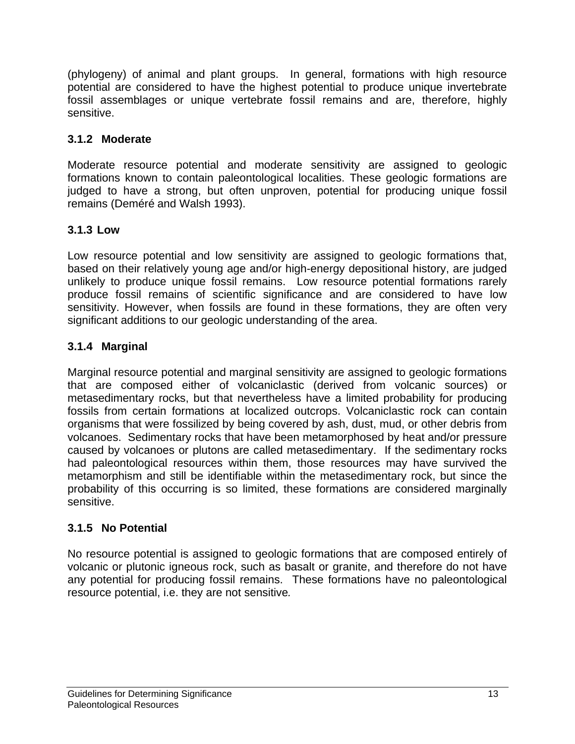(phylogeny) of animal and plant groups. In general, formations with high resource potential are considered to have the highest potential to produce unique invertebrate fossil assemblages or unique vertebrate fossil remains and are, therefore, highly sensitive.

## **3.1.2 Moderate**

Moderate resource potential and moderate sensitivity are assigned to geologic formations known to contain paleontological localities. These geologic formations are judged to have a strong, but often unproven, potential for producing unique fossil remains (Deméré and Walsh 1993).

## **3.1.3 Low**

Low resource potential and low sensitivity are assigned to geologic formations that, based on their relatively young age and/or high-energy depositional history, are judged unlikely to produce unique fossil remains. Low resource potential formations rarely produce fossil remains of scientific significance and are considered to have low sensitivity. However, when fossils are found in these formations, they are often very significant additions to our geologic understanding of the area.

## **3.1.4 Marginal**

Marginal resource potential and marginal sensitivity are assigned to geologic formations that are composed either of volcaniclastic (derived from volcanic sources) or metasedimentary rocks, but that nevertheless have a limited probability for producing fossils from certain formations at localized outcrops. Volcaniclastic rock can contain organisms that were fossilized by being covered by ash, dust, mud, or other debris from volcanoes. Sedimentary rocks that have been metamorphosed by heat and/or pressure caused by volcanoes or plutons are called metasedimentary. If the sedimentary rocks had paleontological resources within them, those resources may have survived the metamorphism and still be identifiable within the metasedimentary rock, but since the probability of this occurring is so limited, these formations are considered marginally sensitive.

### **3.1.5 No Potential**

No resource potential is assigned to geologic formations that are composed entirely of volcanic or plutonic igneous rock, such as basalt or granite, and therefore do not have any potential for producing fossil remains. These formations have no paleontological resource potential, i.e. they are not sensitive*.*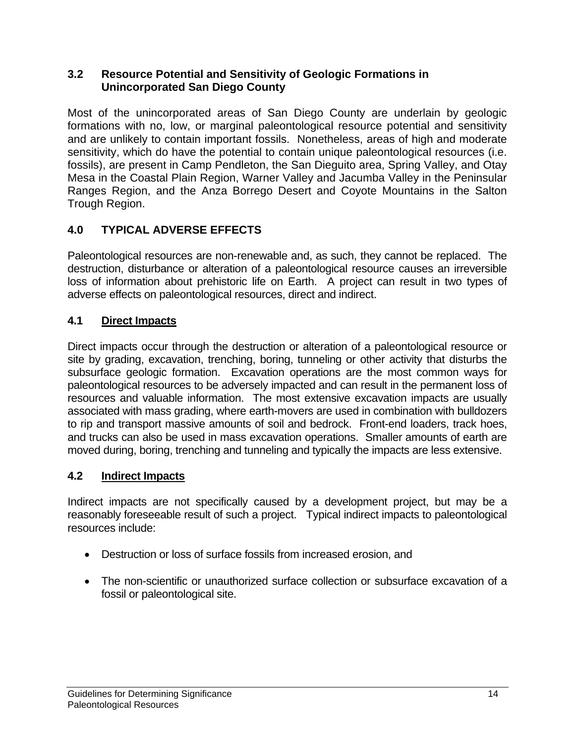#### **3.2 Resource Potential and Sensitivity of Geologic Formations in Unincorporated San Diego County**

Most of the unincorporated areas of San Diego County are underlain by geologic formations with no, low, or marginal paleontological resource potential and sensitivity and are unlikely to contain important fossils. Nonetheless, areas of high and moderate sensitivity, which do have the potential to contain unique paleontological resources (i.e. fossils), are present in Camp Pendleton, the San Dieguito area, Spring Valley, and Otay Mesa in the Coastal Plain Region, Warner Valley and Jacumba Valley in the Peninsular Ranges Region, and the Anza Borrego Desert and Coyote Mountains in the Salton Trough Region.

## **4.0 TYPICAL ADVERSE EFFECTS**

Paleontological resources are non-renewable and, as such, they cannot be replaced. The destruction, disturbance or alteration of a paleontological resource causes an irreversible loss of information about prehistoric life on Earth. A project can result in two types of adverse effects on paleontological resources, direct and indirect.

## **4.1 Direct Impacts**

Direct impacts occur through the destruction or alteration of a paleontological resource or site by grading, excavation, trenching, boring, tunneling or other activity that disturbs the subsurface geologic formation. Excavation operations are the most common ways for paleontological resources to be adversely impacted and can result in the permanent loss of resources and valuable information. The most extensive excavation impacts are usually associated with mass grading, where earth-movers are used in combination with bulldozers to rip and transport massive amounts of soil and bedrock. Front-end loaders, track hoes, and trucks can also be used in mass excavation operations. Smaller amounts of earth are moved during, boring, trenching and tunneling and typically the impacts are less extensive.

### **4.2 Indirect Impacts**

Indirect impacts are not specifically caused by a development project, but may be a reasonably foreseeable result of such a project. Typical indirect impacts to paleontological resources include:

- Destruction or loss of surface fossils from increased erosion, and
- The non-scientific or unauthorized surface collection or subsurface excavation of a fossil or paleontological site.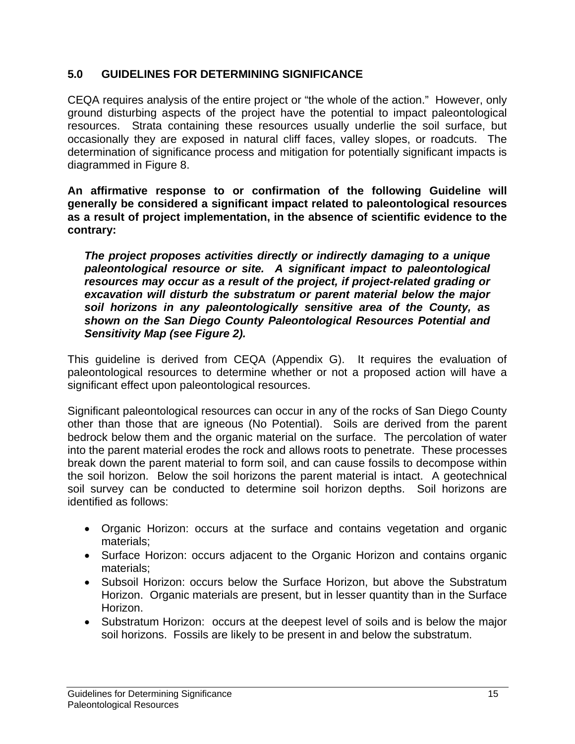#### **5.0 GUIDELINES FOR DETERMINING SIGNIFICANCE**

CEQA requires analysis of the entire project or "the whole of the action." However, only ground disturbing aspects of the project have the potential to impact paleontological resources. Strata containing these resources usually underlie the soil surface, but occasionally they are exposed in natural cliff faces, valley slopes, or roadcuts. The determination of significance process and mitigation for potentially significant impacts is diagrammed in Figure 8.

**An affirmative response to or confirmation of the following Guideline will generally be considered a significant impact related to paleontological resources as a result of project implementation, in the absence of scientific evidence to the contrary:** 

*The project proposes activities directly or indirectly damaging to a unique paleontological resource or site. A significant impact to paleontological resources may occur as a result of the project, if project-related grading or excavation will disturb the substratum or parent material below the major soil horizons in any paleontologically sensitive area of the County, as shown on the San Diego County Paleontological Resources Potential and Sensitivity Map (see Figure 2).* 

This guideline is derived from CEQA (Appendix G). It requires the evaluation of paleontological resources to determine whether or not a proposed action will have a significant effect upon paleontological resources.

Significant paleontological resources can occur in any of the rocks of San Diego County other than those that are igneous (No Potential). Soils are derived from the parent bedrock below them and the organic material on the surface. The percolation of water into the parent material erodes the rock and allows roots to penetrate. These processes break down the parent material to form soil, and can cause fossils to decompose within the soil horizon. Below the soil horizons the parent material is intact. A geotechnical soil survey can be conducted to determine soil horizon depths. Soil horizons are identified as follows:

- Organic Horizon: occurs at the surface and contains vegetation and organic materials;
- Surface Horizon: occurs adjacent to the Organic Horizon and contains organic materials;
- Subsoil Horizon: occurs below the Surface Horizon, but above the Substratum Horizon. Organic materials are present, but in lesser quantity than in the Surface Horizon.
- Substratum Horizon: occurs at the deepest level of soils and is below the major soil horizons. Fossils are likely to be present in and below the substratum.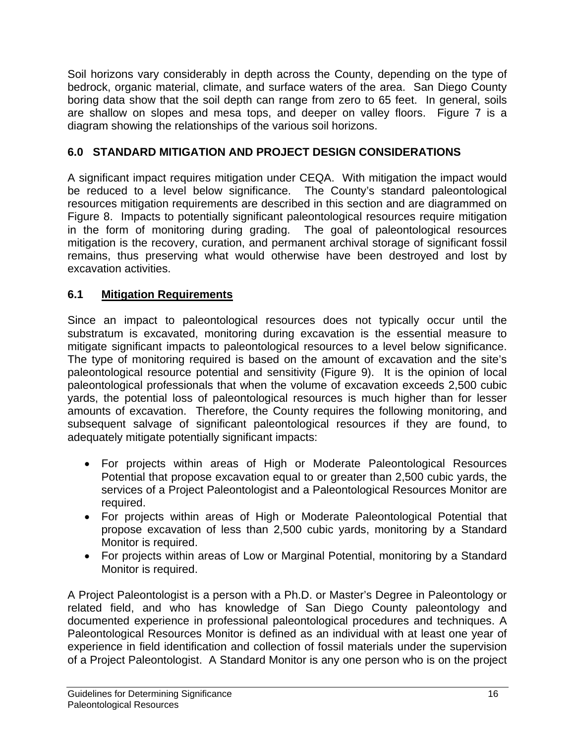Soil horizons vary considerably in depth across the County, depending on the type of bedrock, organic material, climate, and surface waters of the area. San Diego County boring data show that the soil depth can range from zero to 65 feet. In general, soils are shallow on slopes and mesa tops, and deeper on valley floors. Figure 7 is a diagram showing the relationships of the various soil horizons.

## **6.0 STANDARD MITIGATION AND PROJECT DESIGN CONSIDERATIONS**

A significant impact requires mitigation under CEQA. With mitigation the impact would be reduced to a level below significance. The County's standard paleontological resources mitigation requirements are described in this section and are diagrammed on Figure 8. Impacts to potentially significant paleontological resources require mitigation in the form of monitoring during grading. The goal of paleontological resources mitigation is the recovery, curation, and permanent archival storage of significant fossil remains, thus preserving what would otherwise have been destroyed and lost by excavation activities.

#### **6.1 Mitigation Requirements**

Since an impact to paleontological resources does not typically occur until the substratum is excavated, monitoring during excavation is the essential measure to mitigate significant impacts to paleontological resources to a level below significance. The type of monitoring required is based on the amount of excavation and the site's paleontological resource potential and sensitivity (Figure 9). It is the opinion of local paleontological professionals that when the volume of excavation exceeds 2,500 cubic yards, the potential loss of paleontological resources is much higher than for lesser amounts of excavation. Therefore, the County requires the following monitoring, and subsequent salvage of significant paleontological resources if they are found, to adequately mitigate potentially significant impacts:

- For projects within areas of High or Moderate Paleontological Resources Potential that propose excavation equal to or greater than 2,500 cubic yards, the services of a Project Paleontologist and a Paleontological Resources Monitor are required.
- For projects within areas of High or Moderate Paleontological Potential that propose excavation of less than 2,500 cubic yards, monitoring by a Standard Monitor is required.
- For projects within areas of Low or Marginal Potential, monitoring by a Standard Monitor is required.

A Project Paleontologist is a person with a Ph.D. or Master's Degree in Paleontology or related field, and who has knowledge of San Diego County paleontology and documented experience in professional paleontological procedures and techniques. A Paleontological Resources Monitor is defined as an individual with at least one year of experience in field identification and collection of fossil materials under the supervision of a Project Paleontologist. A Standard Monitor is any one person who is on the project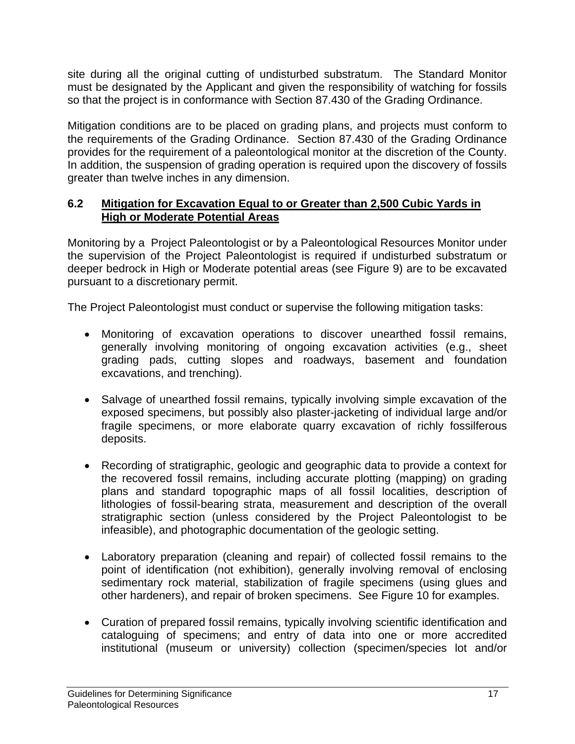site during all the original cutting of undisturbed substratum. The Standard Monitor must be designated by the Applicant and given the responsibility of watching for fossils so that the project is in conformance with Section 87.430 of the Grading Ordinance.

Mitigation conditions are to be placed on grading plans, and projects must conform to the requirements of the Grading Ordinance. Section 87.430 of the Grading Ordinance provides for the requirement of a paleontological monitor at the discretion of the County. In addition, the suspension of grading operation is required upon the discovery of fossils greater than twelve inches in any dimension.

#### **6.2 Mitigation for Excavation Equal to or Greater than 2,500 Cubic Yards in High or Moderate Potential Areas**

Monitoring by a Project Paleontologist or by a Paleontological Resources Monitor under the supervision of the Project Paleontologist is required if undisturbed substratum or deeper bedrock in High or Moderate potential areas (see Figure 9) are to be excavated pursuant to a discretionary permit.

The Project Paleontologist must conduct or supervise the following mitigation tasks:

- Monitoring of excavation operations to discover unearthed fossil remains, generally involving monitoring of ongoing excavation activities (e.g., sheet grading pads, cutting slopes and roadways, basement and foundation excavations, and trenching).
- Salvage of unearthed fossil remains, typically involving simple excavation of the exposed specimens, but possibly also plaster-jacketing of individual large and/or fragile specimens, or more elaborate quarry excavation of richly fossilferous deposits.
- Recording of stratigraphic, geologic and geographic data to provide a context for the recovered fossil remains, including accurate plotting (mapping) on grading plans and standard topographic maps of all fossil localities, description of lithologies of fossil-bearing strata, measurement and description of the overall stratigraphic section (unless considered by the Project Paleontologist to be infeasible), and photographic documentation of the geologic setting.
- Laboratory preparation (cleaning and repair) of collected fossil remains to the point of identification (not exhibition), generally involving removal of enclosing sedimentary rock material, stabilization of fragile specimens (using glues and other hardeners), and repair of broken specimens. See Figure 10 for examples.
- Curation of prepared fossil remains, typically involving scientific identification and cataloguing of specimens; and entry of data into one or more accredited institutional (museum or university) collection (specimen/species lot and/or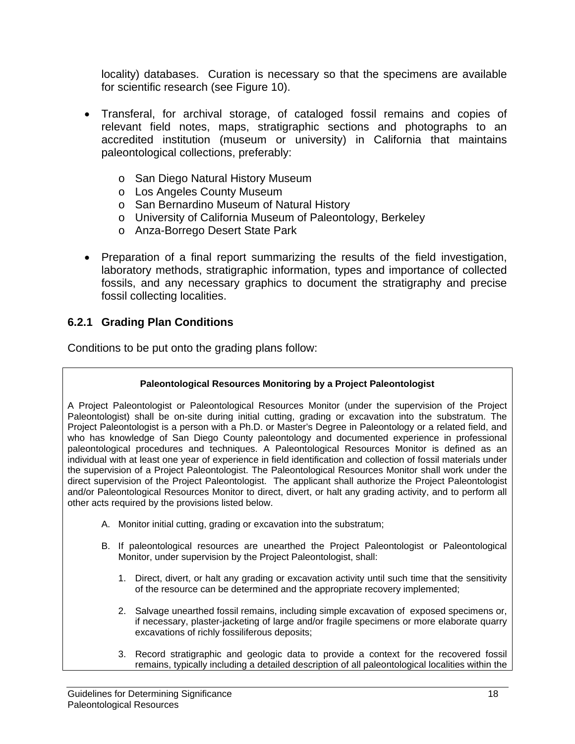locality) databases. Curation is necessary so that the specimens are available for scientific research (see Figure 10).

- Transferal, for archival storage, of cataloged fossil remains and copies of relevant field notes, maps, stratigraphic sections and photographs to an accredited institution (museum or university) in California that maintains paleontological collections, preferably:
	- o San Diego Natural History Museum
	- o Los Angeles County Museum
	- o San Bernardino Museum of Natural History
	- o University of California Museum of Paleontology, Berkeley
	- o Anza-Borrego Desert State Park
- Preparation of a final report summarizing the results of the field investigation, laboratory methods, stratigraphic information, types and importance of collected fossils, and any necessary graphics to document the stratigraphy and precise fossil collecting localities.

#### **6.2.1 Grading Plan Conditions**

Conditions to be put onto the grading plans follow:

#### **Paleontological Resources Monitoring by a Project Paleontologist**

A Project Paleontologist or Paleontological Resources Monitor (under the supervision of the Project Paleontologist) shall be on-site during initial cutting, grading or excavation into the substratum. The Project Paleontologist is a person with a Ph.D. or Master's Degree in Paleontology or a related field, and who has knowledge of San Diego County paleontology and documented experience in professional paleontological procedures and techniques. A Paleontological Resources Monitor is defined as an individual with at least one year of experience in field identification and collection of fossil materials under the supervision of a Project Paleontologist. The Paleontological Resources Monitor shall work under the direct supervision of the Project Paleontologist. The applicant shall authorize the Project Paleontologist and/or Paleontological Resources Monitor to direct, divert, or halt any grading activity, and to perform all other acts required by the provisions listed below.

- A. Monitor initial cutting, grading or excavation into the substratum;
- B. If paleontological resources are unearthed the Project Paleontologist or Paleontological Monitor, under supervision by the Project Paleontologist, shall:
	- 1. Direct, divert, or halt any grading or excavation activity until such time that the sensitivity of the resource can be determined and the appropriate recovery implemented;
	- 2. Salvage unearthed fossil remains, including simple excavation of exposed specimens or, if necessary, plaster-jacketing of large and/or fragile specimens or more elaborate quarry excavations of richly fossiliferous deposits;
	- 3. Record stratigraphic and geologic data to provide a context for the recovered fossil remains, typically including a detailed description of all paleontological localities within the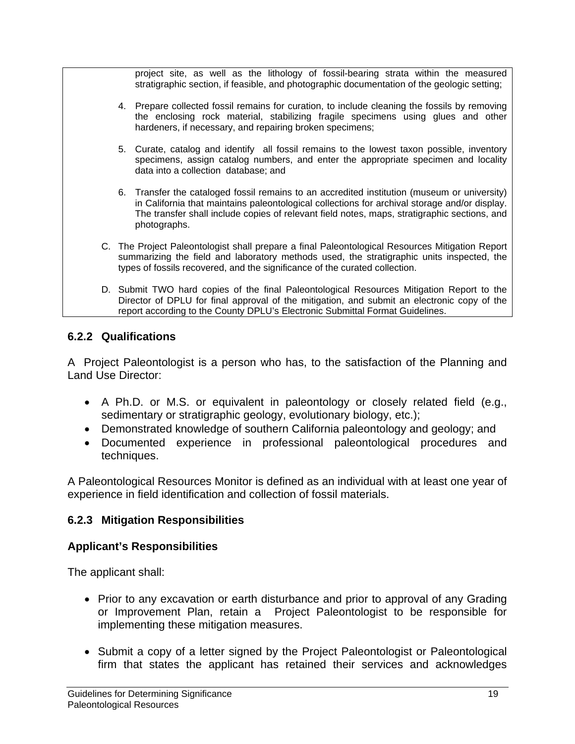project site, as well as the lithology of fossil-bearing strata within the measured stratigraphic section, if feasible, and photographic documentation of the geologic setting;

- 4. Prepare collected fossil remains for curation, to include cleaning the fossils by removing the enclosing rock material, stabilizing fragile specimens using glues and other hardeners, if necessary, and repairing broken specimens;
- 5. Curate, catalog and identify all fossil remains to the lowest taxon possible, inventory specimens, assign catalog numbers, and enter the appropriate specimen and locality data into a collection database; and
- 6. Transfer the cataloged fossil remains to an accredited institution (museum or university) in California that maintains paleontological collections for archival storage and/or display. The transfer shall include copies of relevant field notes, maps, stratigraphic sections, and photographs.
- C. The Project Paleontologist shall prepare a final Paleontological Resources Mitigation Report summarizing the field and laboratory methods used, the stratigraphic units inspected, the types of fossils recovered, and the significance of the curated collection.
- D. Submit TWO hard copies of the final Paleontological Resources Mitigation Report to the Director of DPLU for final approval of the mitigation, and submit an electronic copy of the report according to the County DPLU's Electronic Submittal Format Guidelines.

#### **6.2.2 Qualifications**

A Project Paleontologist is a person who has, to the satisfaction of the Planning and Land Use Director:

- A Ph.D. or M.S. or equivalent in paleontology or closely related field (e.g., sedimentary or stratigraphic geology, evolutionary biology, etc.);
- Demonstrated knowledge of southern California paleontology and geology; and
- Documented experience in professional paleontological procedures and techniques.

A Paleontological Resources Monitor is defined as an individual with at least one year of experience in field identification and collection of fossil materials.

#### **6.2.3 Mitigation Responsibilities**

#### **Applicant's Responsibilities**

The applicant shall:

- Prior to any excavation or earth disturbance and prior to approval of any Grading or Improvement Plan, retain a Project Paleontologist to be responsible for implementing these mitigation measures.
- Submit a copy of a letter signed by the Project Paleontologist or Paleontological firm that states the applicant has retained their services and acknowledges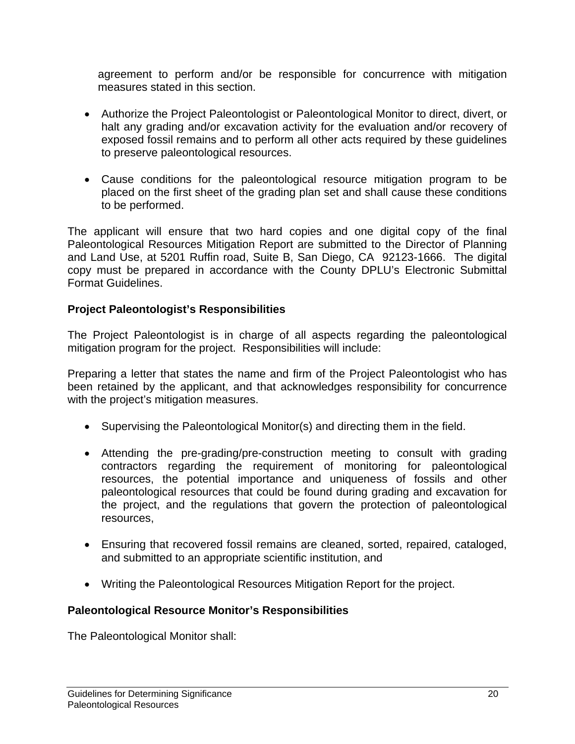agreement to perform and/or be responsible for concurrence with mitigation measures stated in this section.

- Authorize the Project Paleontologist or Paleontological Monitor to direct, divert, or halt any grading and/or excavation activity for the evaluation and/or recovery of exposed fossil remains and to perform all other acts required by these guidelines to preserve paleontological resources.
- Cause conditions for the paleontological resource mitigation program to be placed on the first sheet of the grading plan set and shall cause these conditions to be performed.

The applicant will ensure that two hard copies and one digital copy of the final Paleontological Resources Mitigation Report are submitted to the Director of Planning and Land Use, at 5201 Ruffin road, Suite B, San Diego, CA 92123-1666. The digital copy must be prepared in accordance with the County DPLU's Electronic Submittal Format Guidelines.

#### **Project Paleontologist's Responsibilities**

The Project Paleontologist is in charge of all aspects regarding the paleontological mitigation program for the project. Responsibilities will include:

Preparing a letter that states the name and firm of the Project Paleontologist who has been retained by the applicant, and that acknowledges responsibility for concurrence with the project's mitigation measures.

- Supervising the Paleontological Monitor(s) and directing them in the field.
- Attending the pre-grading/pre-construction meeting to consult with grading contractors regarding the requirement of monitoring for paleontological resources, the potential importance and uniqueness of fossils and other paleontological resources that could be found during grading and excavation for the project, and the regulations that govern the protection of paleontological resources,
- Ensuring that recovered fossil remains are cleaned, sorted, repaired, cataloged, and submitted to an appropriate scientific institution, and
- Writing the Paleontological Resources Mitigation Report for the project.

#### **Paleontological Resource Monitor's Responsibilities**

The Paleontological Monitor shall: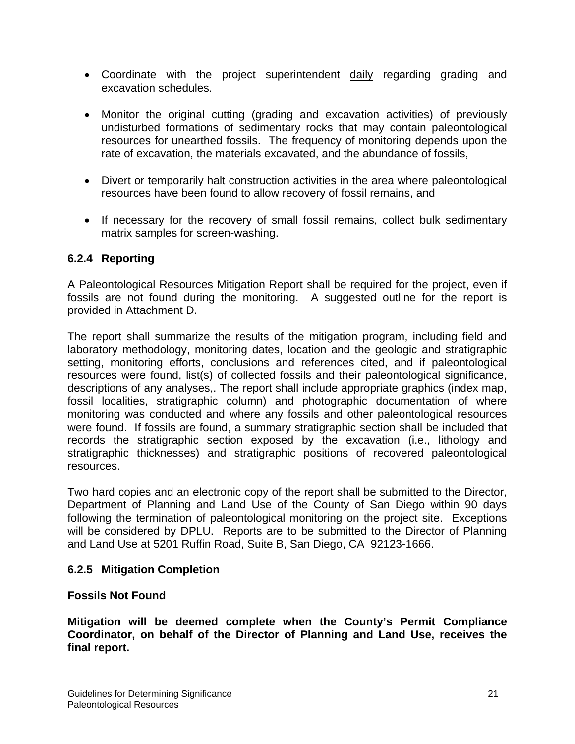- Coordinate with the project superintendent daily regarding grading and excavation schedules.
- Monitor the original cutting (grading and excavation activities) of previously undisturbed formations of sedimentary rocks that may contain paleontological resources for unearthed fossils. The frequency of monitoring depends upon the rate of excavation, the materials excavated, and the abundance of fossils,
- Divert or temporarily halt construction activities in the area where paleontological resources have been found to allow recovery of fossil remains, and
- If necessary for the recovery of small fossil remains, collect bulk sedimentary matrix samples for screen-washing.

### **6.2.4 Reporting**

A Paleontological Resources Mitigation Report shall be required for the project, even if fossils are not found during the monitoring. A suggested outline for the report is provided in Attachment D.

The report shall summarize the results of the mitigation program, including field and laboratory methodology, monitoring dates, location and the geologic and stratigraphic setting, monitoring efforts, conclusions and references cited, and if paleontological resources were found, list(s) of collected fossils and their paleontological significance, descriptions of any analyses,. The report shall include appropriate graphics (index map, fossil localities, stratigraphic column) and photographic documentation of where monitoring was conducted and where any fossils and other paleontological resources were found. If fossils are found, a summary stratigraphic section shall be included that records the stratigraphic section exposed by the excavation (i.e., lithology and stratigraphic thicknesses) and stratigraphic positions of recovered paleontological resources.

Two hard copies and an electronic copy of the report shall be submitted to the Director, Department of Planning and Land Use of the County of San Diego within 90 days following the termination of paleontological monitoring on the project site. Exceptions will be considered by DPLU. Reports are to be submitted to the Director of Planning and Land Use at 5201 Ruffin Road, Suite B, San Diego, CA 92123-1666.

### **6.2.5 Mitigation Completion**

### **Fossils Not Found**

**Mitigation will be deemed complete when the County's Permit Compliance Coordinator, on behalf of the Director of Planning and Land Use, receives the final report.**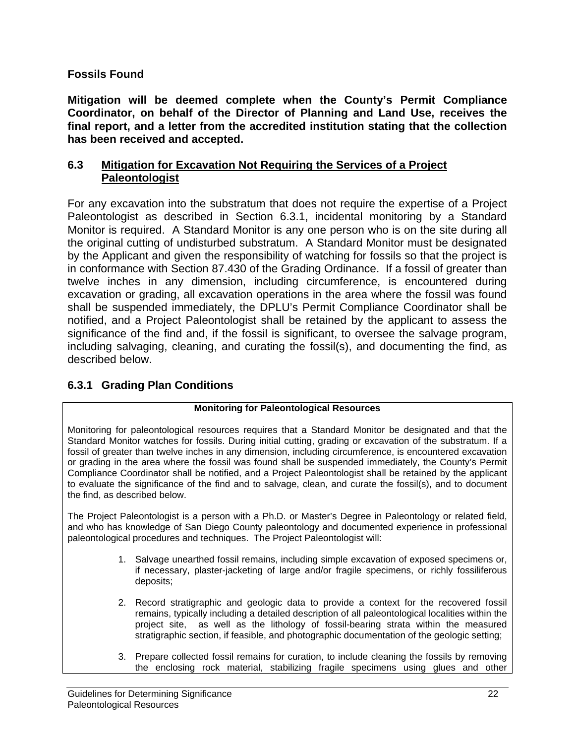#### **Fossils Found**

**Mitigation will be deemed complete when the County's Permit Compliance Coordinator, on behalf of the Director of Planning and Land Use, receives the final report, and a letter from the accredited institution stating that the collection has been received and accepted.** 

#### **6.3 Mitigation for Excavation Not Requiring the Services of a Project Paleontologist**

For any excavation into the substratum that does not require the expertise of a Project Paleontologist as described in Section 6.3.1, incidental monitoring by a Standard Monitor is required. A Standard Monitor is any one person who is on the site during all the original cutting of undisturbed substratum. A Standard Monitor must be designated by the Applicant and given the responsibility of watching for fossils so that the project is in conformance with Section 87.430 of the Grading Ordinance. If a fossil of greater than twelve inches in any dimension, including circumference, is encountered during excavation or grading, all excavation operations in the area where the fossil was found shall be suspended immediately, the DPLU's Permit Compliance Coordinator shall be notified, and a Project Paleontologist shall be retained by the applicant to assess the significance of the find and, if the fossil is significant, to oversee the salvage program, including salvaging, cleaning, and curating the fossil(s), and documenting the find, as described below.

### **6.3.1 Grading Plan Conditions**

#### **Monitoring for Paleontological Resources**

Monitoring for paleontological resources requires that a Standard Monitor be designated and that the Standard Monitor watches for fossils. During initial cutting, grading or excavation of the substratum. If a fossil of greater than twelve inches in any dimension, including circumference, is encountered excavation or grading in the area where the fossil was found shall be suspended immediately, the County's Permit Compliance Coordinator shall be notified, and a Project Paleontologist shall be retained by the applicant to evaluate the significance of the find and to salvage, clean, and curate the fossil(s), and to document the find, as described below.

The Project Paleontologist is a person with a Ph.D. or Master's Degree in Paleontology or related field, and who has knowledge of San Diego County paleontology and documented experience in professional paleontological procedures and techniques. The Project Paleontologist will:

- 1. Salvage unearthed fossil remains, including simple excavation of exposed specimens or, if necessary, plaster-jacketing of large and/or fragile specimens, or richly fossiliferous deposits;
- 2. Record stratigraphic and geologic data to provide a context for the recovered fossil remains, typically including a detailed description of all paleontological localities within the project site, as well as the lithology of fossil-bearing strata within the measured stratigraphic section, if feasible, and photographic documentation of the geologic setting;
- 3. Prepare collected fossil remains for curation, to include cleaning the fossils by removing the enclosing rock material, stabilizing fragile specimens using glues and other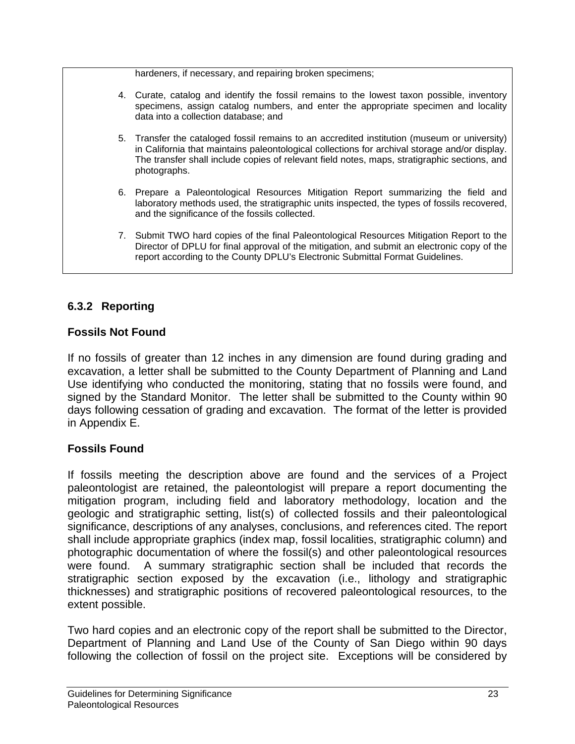hardeners, if necessary, and repairing broken specimens;

- 4. Curate, catalog and identify the fossil remains to the lowest taxon possible, inventory specimens, assign catalog numbers, and enter the appropriate specimen and locality data into a collection database; and
- 5. Transfer the cataloged fossil remains to an accredited institution (museum or university) in California that maintains paleontological collections for archival storage and/or display. The transfer shall include copies of relevant field notes, maps, stratigraphic sections, and photographs.
- 6. Prepare a Paleontological Resources Mitigation Report summarizing the field and laboratory methods used, the stratigraphic units inspected, the types of fossils recovered, and the significance of the fossils collected.
- 7. Submit TWO hard copies of the final Paleontological Resources Mitigation Report to the Director of DPLU for final approval of the mitigation, and submit an electronic copy of the report according to the County DPLU's Electronic Submittal Format Guidelines.

## **6.3.2 Reporting**

#### **Fossils Not Found**

If no fossils of greater than 12 inches in any dimension are found during grading and excavation, a letter shall be submitted to the County Department of Planning and Land Use identifying who conducted the monitoring, stating that no fossils were found, and signed by the Standard Monitor. The letter shall be submitted to the County within 90 days following cessation of grading and excavation. The format of the letter is provided in Appendix E.

### **Fossils Found**

If fossils meeting the description above are found and the services of a Project paleontologist are retained, the paleontologist will prepare a report documenting the mitigation program, including field and laboratory methodology, location and the geologic and stratigraphic setting, list(s) of collected fossils and their paleontological significance, descriptions of any analyses, conclusions, and references cited. The report shall include appropriate graphics (index map, fossil localities, stratigraphic column) and photographic documentation of where the fossil(s) and other paleontological resources were found. A summary stratigraphic section shall be included that records the stratigraphic section exposed by the excavation (i.e., lithology and stratigraphic thicknesses) and stratigraphic positions of recovered paleontological resources, to the extent possible.

Two hard copies and an electronic copy of the report shall be submitted to the Director, Department of Planning and Land Use of the County of San Diego within 90 days following the collection of fossil on the project site. Exceptions will be considered by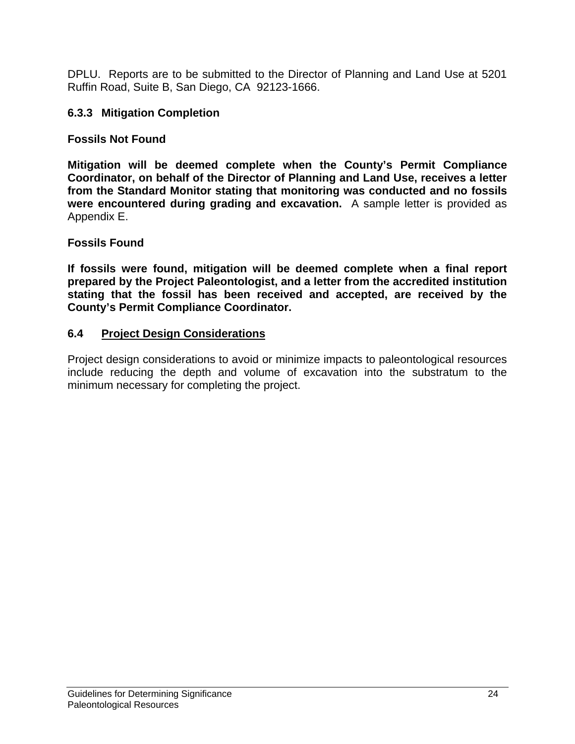DPLU. Reports are to be submitted to the Director of Planning and Land Use at 5201 Ruffin Road, Suite B, San Diego, CA 92123-1666.

#### **6.3.3 Mitigation Completion**

#### **Fossils Not Found**

**Mitigation will be deemed complete when the County's Permit Compliance Coordinator, on behalf of the Director of Planning and Land Use, receives a letter from the Standard Monitor stating that monitoring was conducted and no fossils were encountered during grading and excavation.** A sample letter is provided as Appendix E.

#### **Fossils Found**

**If fossils were found, mitigation will be deemed complete when a final report prepared by the Project Paleontologist, and a letter from the accredited institution stating that the fossil has been received and accepted, are received by the County's Permit Compliance Coordinator.** 

#### **6.4 Project Design Considerations**

Project design considerations to avoid or minimize impacts to paleontological resources include reducing the depth and volume of excavation into the substratum to the minimum necessary for completing the project.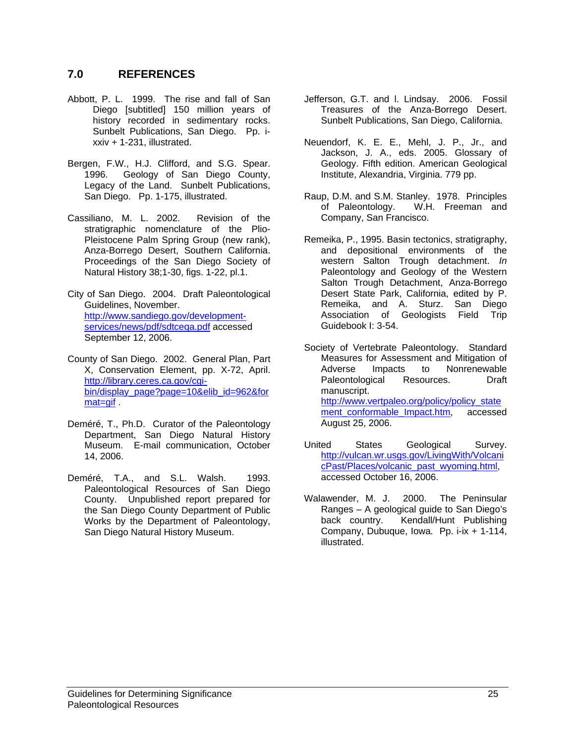#### **7.0 REFERENCES**

- Abbott, P. L. 1999. The rise and fall of San Diego [subtitled] 150 million years of history recorded in sedimentary rocks. Sunbelt Publications, San Diego. Pp. ixxiv + 1-231, illustrated.
- Bergen, F.W., H.J. Clifford, and S.G. Spear. 1996. Geology of San Diego County, Legacy of the Land. Sunbelt Publications, San Diego. Pp. 1-175, illustrated.
- Cassiliano, M. L. 2002. Revision of the stratigraphic nomenclature of the Plio-Pleistocene Palm Spring Group (new rank), Anza-Borrego Desert, Southern California. Proceedings of the San Diego Society of Natural History 38;1-30, figs. 1-22, pl.1.
- City of San Diego. 2004. Draft Paleontological Guidelines, November. http://www.sandiego.gov/developmentservices/news/pdf/sdtceqa.pdf accessed September 12, 2006.
- County of San Diego. 2002. General Plan, Part X, Conservation Element, pp. X-72, April. http://library.ceres.ca.gov/cgibin/display\_page?page=10&elib\_id=962&for mat=gif
- Deméré, T., Ph.D. Curator of the Paleontology Department, San Diego Natural History Museum. E-mail communication, October 14, 2006.
- Deméré, T.A., and S.L. Walsh. 1993. Paleontological Resources of San Diego County. Unpublished report prepared for the San Diego County Department of Public Works by the Department of Paleontology, San Diego Natural History Museum.
- Jefferson, G.T. and l. Lindsay. 2006. Fossil Treasures of the Anza-Borrego Desert. Sunbelt Publications, San Diego, California.
- Neuendorf, K. E. E., Mehl, J. P., Jr., and Jackson, J. A., eds. 2005. Glossary of Geology. Fifth edition. American Geological Institute, Alexandria, Virginia. 779 pp.
- Raup, D.M. and S.M. Stanley. 1978. Principles of Paleontology. W.H. Freeman and Company, San Francisco.
- Remeika, P., 1995. Basin tectonics, stratigraphy, and depositional environments of the western Salton Trough detachment. *In*  Paleontology and Geology of the Western Salton Trough Detachment, Anza-Borrego Desert State Park, California, edited by P. Remeika, and A. Sturz. San Diego Association of Geologists Field Trip Guidebook I: 3-54.
- Society of Vertebrate Paleontology. Standard Measures for Assessment and Mitigation of Adverse Impacts to Nonrenewable Paleontological Resources. Draft manuscript. http://www.vertpaleo.org/policy/policy\_state ment\_conformable\_Impact.htm, accessed August 25, 2006.
- United States Geological Survey. http://vulcan.wr.usgs.gov/LivingWith/Volcani cPast/Places/volcanic\_past\_wyoming.html, accessed October 16, 2006.
- Walawender, M. J. 2000. The Peninsular Ranges – A geological guide to San Diego's Kendall/Hunt Publishing Company, Dubuque, Iowa. Pp. i-ix + 1-114, illustrated.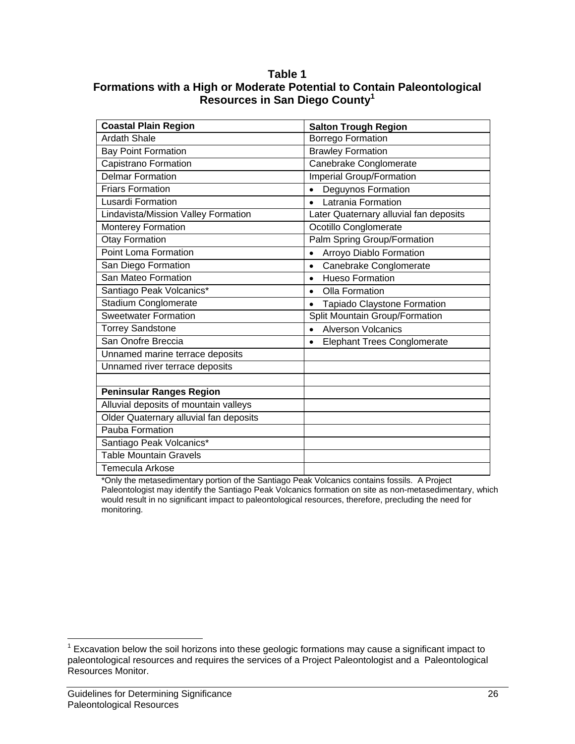#### **Table 1 Formations with a High or Moderate Potential to Contain Paleontological Resources in San Diego County1**

| <b>Coastal Plain Region</b>            | <b>Salton Trough Region</b>                     |  |
|----------------------------------------|-------------------------------------------------|--|
| <b>Ardath Shale</b>                    | <b>Borrego Formation</b>                        |  |
| <b>Bay Point Formation</b>             | <b>Brawley Formation</b>                        |  |
| Capistrano Formation                   | Canebrake Conglomerate                          |  |
| <b>Delmar Formation</b>                | <b>Imperial Group/Formation</b>                 |  |
| <b>Friars Formation</b>                | Deguynos Formation<br>$\bullet$                 |  |
| <b>Lusardi Formation</b>               | Latrania Formation<br>$\bullet$                 |  |
| Lindavista/Mission Valley Formation    | Later Quaternary alluvial fan deposits          |  |
| Monterey Formation                     | Ocotillo Conglomerate                           |  |
| <b>Otay Formation</b>                  | Palm Spring Group/Formation                     |  |
| <b>Point Loma Formation</b>            | Arroyo Diablo Formation                         |  |
| San Diego Formation                    | Canebrake Conglomerate<br>$\bullet$             |  |
| San Mateo Formation                    | <b>Hueso Formation</b><br>$\bullet$             |  |
| Santiago Peak Volcanics*               | Olla Formation<br>$\bullet$                     |  |
| Stadium Conglomerate                   | Tapiado Claystone Formation<br>$\bullet$        |  |
| <b>Sweetwater Formation</b>            | Split Mountain Group/Formation                  |  |
| <b>Torrey Sandstone</b>                | <b>Alverson Volcanics</b><br>$\bullet$          |  |
| San Onofre Breccia                     | <b>Elephant Trees Conglomerate</b><br>$\bullet$ |  |
| Unnamed marine terrace deposits        |                                                 |  |
| Unnamed river terrace deposits         |                                                 |  |
|                                        |                                                 |  |
| <b>Peninsular Ranges Region</b>        |                                                 |  |
| Alluvial deposits of mountain valleys  |                                                 |  |
| Older Quaternary alluvial fan deposits |                                                 |  |
| Pauba Formation                        |                                                 |  |
| Santiago Peak Volcanics*               |                                                 |  |
| <b>Table Mountain Gravels</b>          |                                                 |  |
| <b>Temecula Arkose</b>                 |                                                 |  |

\*Only the metasedimentary portion of the Santiago Peak Volcanics contains fossils. A Project Paleontologist may identify the Santiago Peak Volcanics formation on site as non-metasedimentary, which would result in no significant impact to paleontological resources, therefore, precluding the need for monitoring.

 $\overline{a}$  $1$  Excavation below the soil horizons into these geologic formations may cause a significant impact to paleontological resources and requires the services of a Project Paleontologist and a Paleontological Resources Monitor.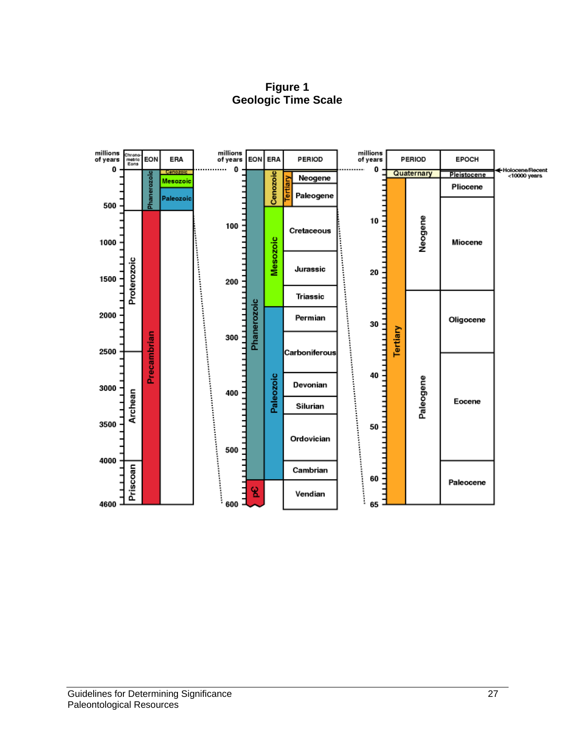**Figure 1 Geologic Time Scale** 

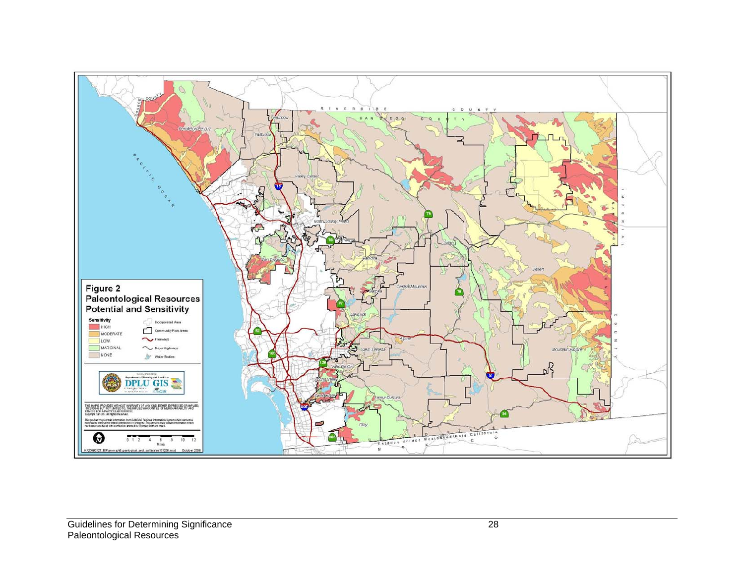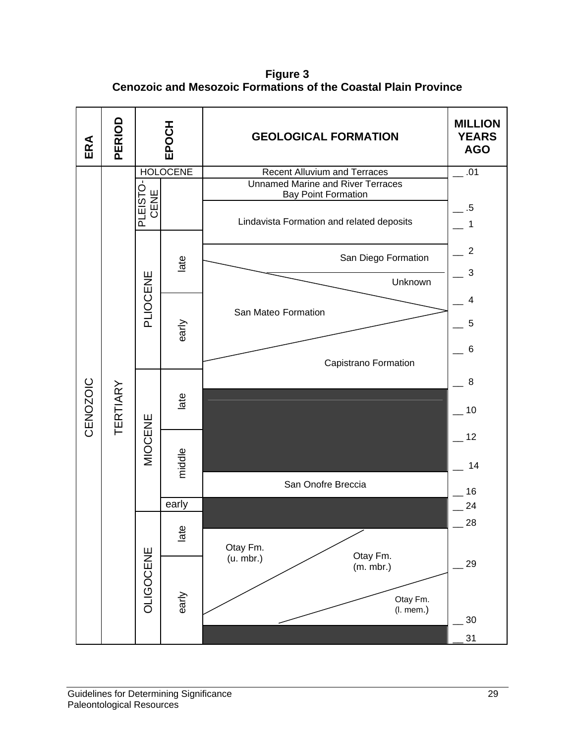**Figure 3 Cenozoic and Mesozoic Formations of the Coastal Plain Province** 

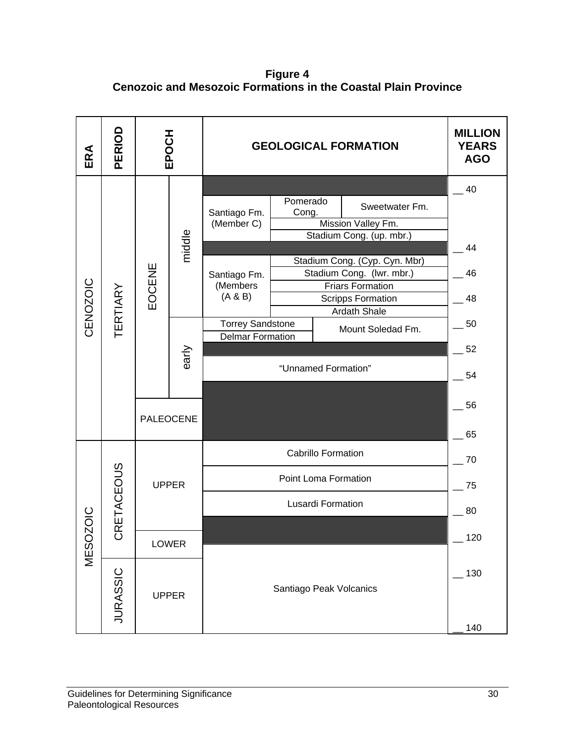**Figure 4 Cenozoic and Mesozoic Formations in the Coastal Plain Province** 

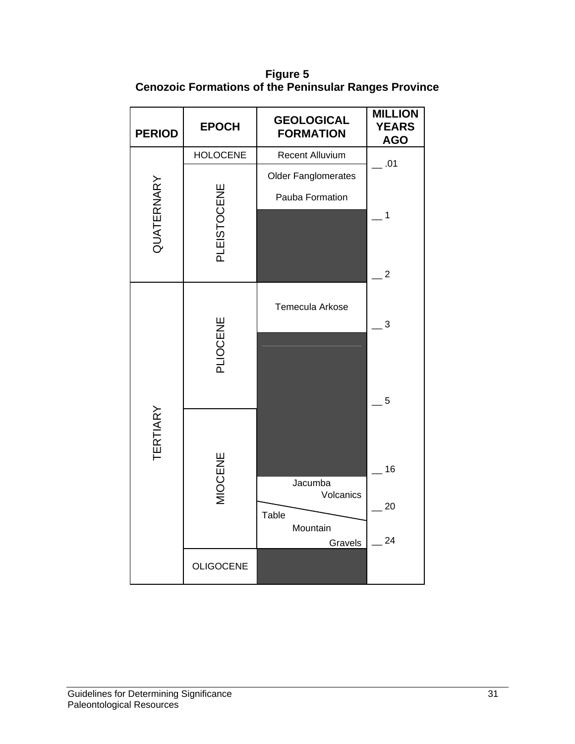**Figure 5 Cenozoic Formations of the Peninsular Ranges Province** 

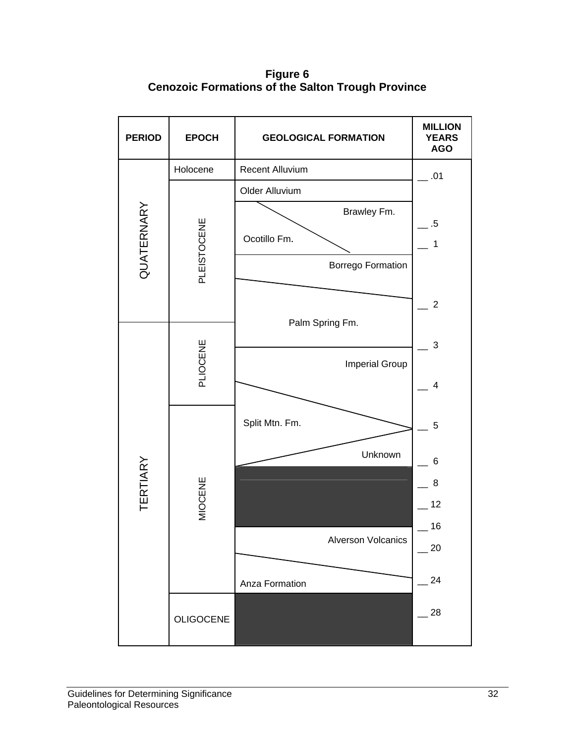**Figure 6 Cenozoic Formations of the Salton Trough Province** 

| <b>PERIOD</b>   | <b>EPOCH</b>     | <b>GEOLOGICAL FORMATION</b> | <b>MILLION</b><br><b>YEARS</b><br><b>AGO</b> |
|-----------------|------------------|-----------------------------|----------------------------------------------|
|                 | Holocene         | Recent Alluvium             | .01                                          |
|                 |                  | Older Alluvium              |                                              |
| QUATERNARY      |                  | Brawley Fm.                 | $.5\,$                                       |
|                 |                  | Ocotillo Fm.                | $\mathbf 1$                                  |
|                 | PLEISTOCENE      | <b>Borrego Formation</b>    |                                              |
|                 |                  |                             | $\overline{2}$                               |
|                 |                  | Palm Spring Fm.             | 3                                            |
|                 | PLIOCENE         | <b>Imperial Group</b>       | $\overline{\mathbf{4}}$                      |
|                 |                  |                             |                                              |
|                 |                  | Split Mtn. Fm.              | 5                                            |
| <b>TERTIARY</b> |                  | Unknown                     | 6                                            |
|                 |                  |                             | 8                                            |
|                 | MIOCENE          |                             | 12                                           |
|                 |                  | Alverson Volcanics          | 16                                           |
|                 |                  |                             | 20                                           |
|                 |                  | Anza Formation              | 24                                           |
|                 | <b>OLIGOCENE</b> |                             | $-28$                                        |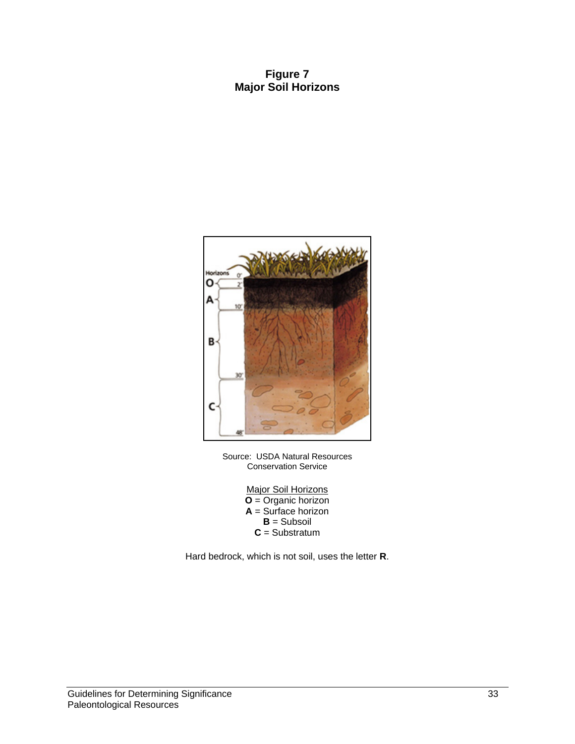#### **Figure 7 Major Soil Horizons**



Source: USDA Natural Resources Conservation Service

> **Major Soil Horizons O** = Organic horizon **A** = Surface horizon **B** = Subsoil **C** = Substratum

Hard bedrock, which is not soil, uses the letter **R**.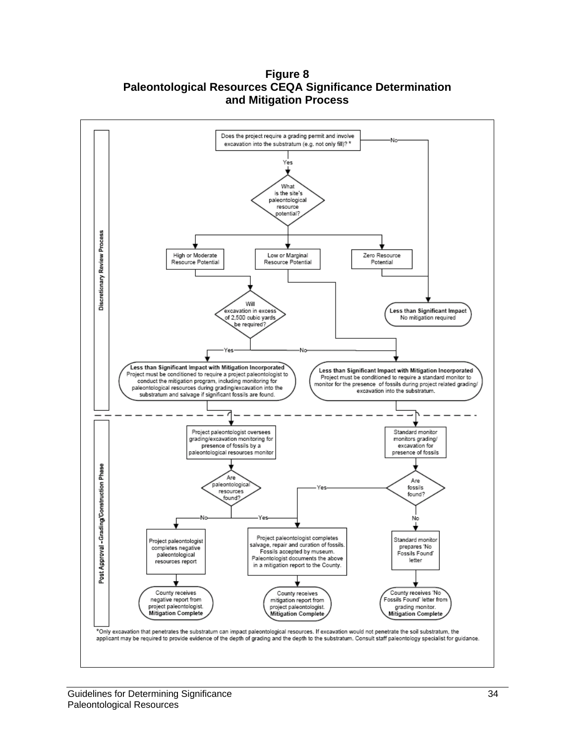**Figure 8 Paleontological Resources CEQA Significance Determination and Mitigation Process** 

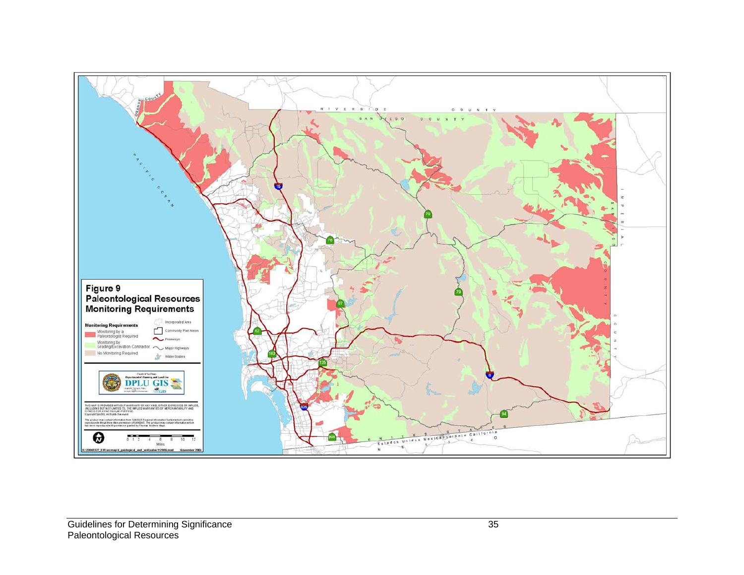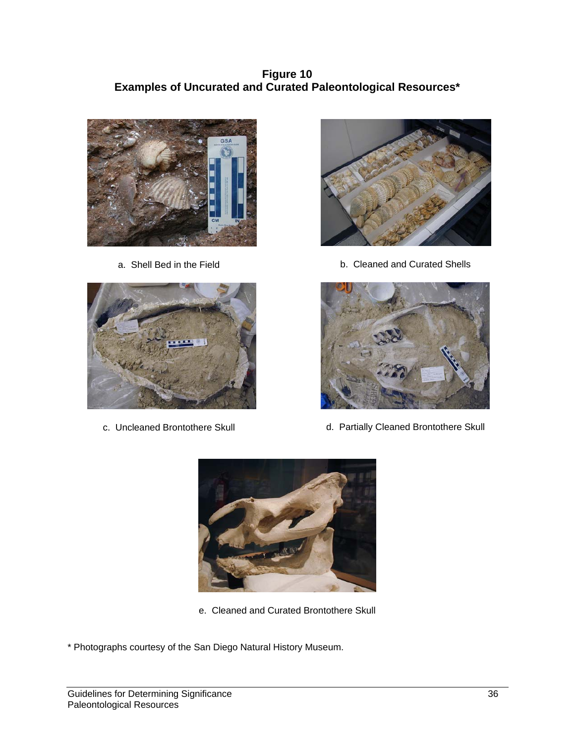**Figure 10 Examples of Uncurated and Curated Paleontological Resources\*** 



a. Shell Bed in the Field



c. Uncleaned Brontothere Skull



b. Cleaned and Curated Shells



d. Partially Cleaned Brontothere Skull



- e. Cleaned and Curated Brontothere Skull
- \* Photographs courtesy of the San Diego Natural History Museum.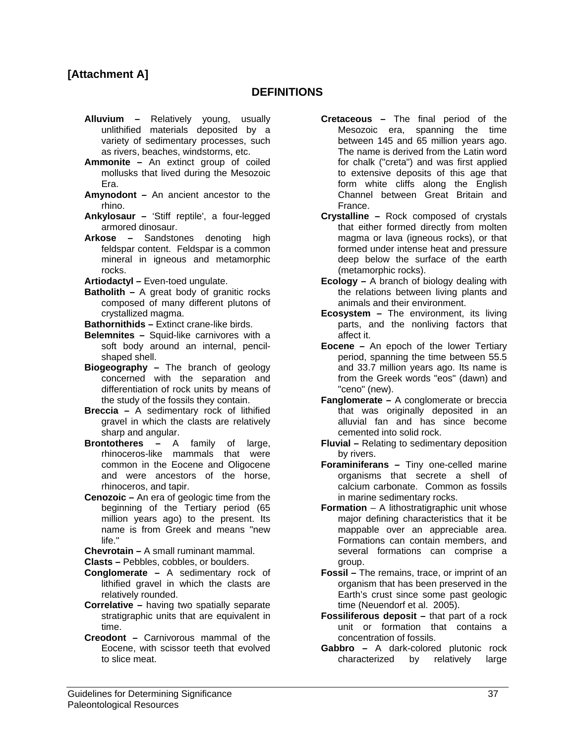#### **[Attachment A]**

#### **DEFINITIONS**

- **Alluvium** Relatively young, usually unlithified materials deposited by a variety of sedimentary processes, such as rivers, beaches, windstorms, etc.
- **Ammonite –** An extinct group of coiled mollusks that lived during the Mesozoic Era.
- **Amynodont –** An ancient ancestor to the rhino.
- **Ankylosaur –** 'Stiff reptile', a four-legged armored dinosaur.
- **Arkose –** Sandstones denoting high feldspar content. Feldspar is a common mineral in igneous and metamorphic rocks.
- **Artiodactyl –** Even-toed ungulate.
- **Batholith –** A great body of granitic rocks composed of many different plutons of crystallized magma.
- **Bathornithids –** Extinct crane-like birds.
- **Belemnites** Squid-like carnivores with a soft body around an internal, pencilshaped shell.
- **Biogeography** The branch of geology concerned with the separation and differentiation of rock units by means of the study of the fossils they contain.
- **Breccia –** A sedimentary rock of lithified gravel in which the clasts are relatively sharp and angular.
- **Brontotheres –** A family of large, rhinoceros-like mammals that were common in the Eocene and Oligocene and were ancestors of the horse, rhinoceros, and tapir.
- **Cenozoic –** An era of geologic time from the beginning of the Tertiary period (65 million years ago) to the present. Its name is from Greek and means "new life."
- **Chevrotain –** A small ruminant mammal.
- **Clasts –** Pebbles, cobbles, or boulders.
- **Conglomerate –** A sedimentary rock of lithified gravel in which the clasts are relatively rounded.
- **Correlative –** having two spatially separate stratigraphic units that are equivalent in time.
- **Creodont** Carnivorous mammal of the Eocene, with scissor teeth that evolved to slice meat.
- **Cretaceous** The final period of the Mesozoic era, spanning the time between 145 and 65 million years ago. The name is derived from the Latin word for chalk ("creta") and was first applied to extensive deposits of this age that form white cliffs along the English Channel between Great Britain and France.
- **Crystalline –** Rock composed of crystals that either formed directly from molten magma or lava (igneous rocks), or that formed under intense heat and pressure deep below the surface of the earth (metamorphic rocks).
- **Ecology** A branch of biology dealing with the relations between living plants and animals and their environment.
- **Ecosystem** The environment, its living parts, and the nonliving factors that affect it.
- **Eocene** An epoch of the lower Tertiary period, spanning the time between 55.5 and 33.7 million years ago. Its name is from the Greek words "eos" (dawn) and "ceno" (new).
- **Fanglomerate –** A conglomerate or breccia that was originally deposited in an alluvial fan and has since become cemented into solid rock.
- **Fluvial –** Relating to sedimentary deposition by rivers.
- **Foraminiferans –** Tiny one-celled marine organisms that secrete a shell of calcium carbonate. Common as fossils in marine sedimentary rocks.
- **Formation** A lithostratigraphic unit whose major defining characteristics that it be mappable over an appreciable area. Formations can contain members, and several formations can comprise a group.
- **Fossil** The remains, trace, or imprint of an organism that has been preserved in the Earth's crust since some past geologic time (Neuendorf et al. 2005).
- **Fossiliferous deposit** that part of a rock unit or formation that contains a concentration of fossils.
- **Gabbro** A dark-colored plutonic rock characterized by relatively large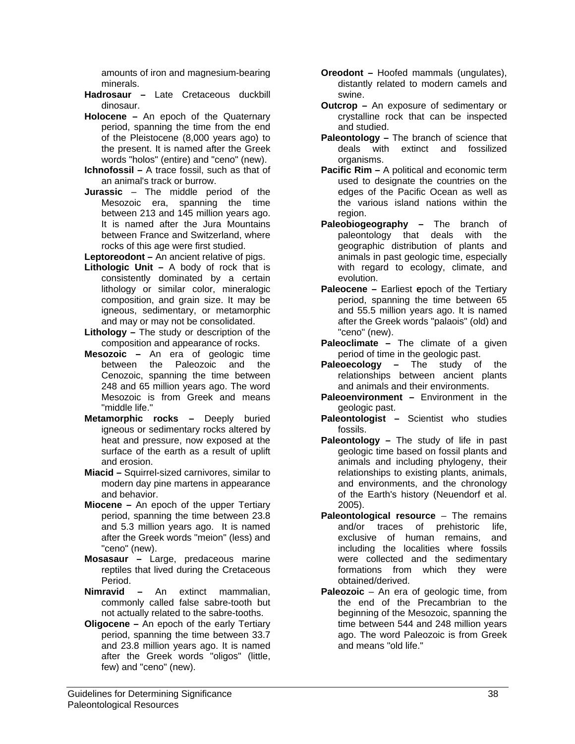amounts of iron and magnesium-bearing minerals.

- **Hadrosaur** Late Cretaceous duckbill dinosaur.
- **Holocene** An epoch of the Quaternary period, spanning the time from the end of the Pleistocene (8,000 years ago) to the present. It is named after the Greek words "holos" (entire) and "ceno" (new).
- **Ichnofossil** A trace fossil, such as that of an animal's track or burrow.
- **Jurassic**  The middle period of the Mesozoic era, spanning the time between 213 and 145 million years ago. It is named after the Jura Mountains between France and Switzerland, where rocks of this age were first studied.

**Leptoreodont –** An ancient relative of pigs.

- **Lithologic Unit –** A body of rock that is consistently dominated by a certain lithology or similar color, mineralogic composition, and grain size. It may be igneous, sedimentary, or metamorphic and may or may not be consolidated.
- **Lithology –** The study or description of the composition and appearance of rocks.
- **Mesozoic** An era of geologic time between the Paleozoic and the Cenozoic, spanning the time between 248 and 65 million years ago. The word Mesozoic is from Greek and means "middle life."
- **Metamorphic rocks –** Deeply buried igneous or sedimentary rocks altered by heat and pressure, now exposed at the surface of the earth as a result of uplift and erosion.
- **Miacid –** Squirrel-sized carnivores, similar to modern day pine martens in appearance and behavior.
- **Miocene** An epoch of the upper Tertiary period, spanning the time between 23.8 and 5.3 million years ago. It is named after the Greek words "meion" (less) and "ceno" (new).
- **Mosasaur –** Large, predaceous marine reptiles that lived during the Cretaceous Period.
- **Nimravid** An extinct mammalian, commonly called false sabre-tooth but not actually related to the sabre-tooths.
- **Oligocene** An epoch of the early Tertiary period, spanning the time between 33.7 and 23.8 million years ago. It is named after the Greek words "oligos" (little, few) and "ceno" (new).
- **Oreodont** Hoofed mammals (ungulates), distantly related to modern camels and swine.
- **Outcrop –** An exposure of sedimentary or crystalline rock that can be inspected and studied.
- **Paleontology** The branch of science that deals with extinct and fossilized organisms.
- **Pacific Rim** A political and economic term used to designate the countries on the edges of the Pacific Ocean as well as the various island nations within the region.
- **Paleobiogeography –** The branch of paleontology that deals with the geographic distribution of plants and animals in past geologic time, especially with regard to ecology, climate, and evolution.
- **Paleocene** Earliest **e**poch of the Tertiary period, spanning the time between 65 and 55.5 million years ago. It is named after the Greek words "palaois" (old) and "ceno" (new).
- **Paleoclimate** The climate of a given period of time in the geologic past.
- **Paleoecology** The study of the relationships between ancient plants and animals and their environments.
- **Paleoenvironment** Environment in the geologic past.
- **Paleontologist** Scientist who studies fossils.
- **Paleontology** The study of life in past geologic time based on fossil plants and animals and including phylogeny, their relationships to existing plants, animals, and environments, and the chronology of the Earth's history (Neuendorf et al. 2005).
- **Paleontological resource**  The remains and/or traces of prehistoric life, exclusive of human remains, and including the localities where fossils were collected and the sedimentary formations from which they were obtained/derived.
- **Paleozoic** An era of geologic time, from the end of the Precambrian to the beginning of the Mesozoic, spanning the time between 544 and 248 million years ago. The word Paleozoic is from Greek and means "old life."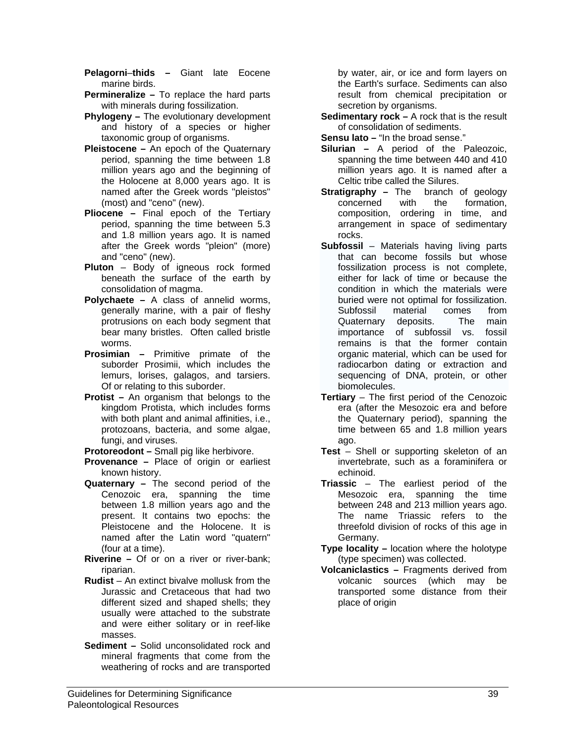**Pelagorni**–**thids –** Giant late Eocene marine birds.

- **Permineralize –** To replace the hard parts with minerals during fossilization.
- **Phylogeny** The evolutionary development and history of a species or higher taxonomic group of organisms.
- **Pleistocene** An epoch of the Quaternary period, spanning the time between 1.8 million years ago and the beginning of the Holocene at 8,000 years ago. It is named after the Greek words "pleistos" (most) and "ceno" (new).
- **Pliocene** Final epoch of the Tertiary period, spanning the time between 5.3 and 1.8 million years ago. It is named after the Greek words "pleion" (more) and "ceno" (new).
- **Pluton**  Body of igneous rock formed beneath the surface of the earth by consolidation of magma.
- **Polychaete** A class of annelid worms, generally marine, with a pair of fleshy protrusions on each body segment that bear many bristles. Often called bristle worms.
- **Prosimian –** Primitive primate of the suborder Prosimii, which includes the lemurs, lorises, galagos, and tarsiers. Of or relating to this suborder.
- **Protist** An organism that belongs to the kingdom Protista, which includes forms with both plant and animal affinities, i.e., protozoans, bacteria, and some algae, fungi, and viruses.
- **Protoreodont** Small pig like herbivore.
- **Provenance –** Place of origin or earliest known history.
- **Quaternary** The second period of the Cenozoic era, spanning the time between 1.8 million years ago and the present. It contains two epochs: the Pleistocene and the Holocene. It is named after the Latin word "quatern" (four at a time).
- **Riverine** Of or on a river or river-bank; riparian.
- **Rudist**  An extinct bivalve mollusk from the Jurassic and Cretaceous that had two different sized and shaped shells; they usually were attached to the substrate and were either solitary or in reef-like masses.
- **Sediment** Solid unconsolidated rock and mineral fragments that come from the weathering of rocks and are transported

by water, air, or ice and form layers on the Earth's surface. Sediments can also result from chemical precipitation or secretion by organisms.

- **Sedimentary rock** A rock that is the result of consolidation of sediments.
- **Sensu lato –** "In the broad sense."
- **Silurian** A period of the Paleozoic, spanning the time between 440 and 410 million years ago. It is named after a Celtic tribe called the Silures.
- **Stratigraphy The branch of geology** concerned with the formation, composition, ordering in time, and arrangement in space of sedimentary rocks.
- **Subfossil**  Materials having living parts that can become fossils but whose fossilization process is not complete, either for lack of time or because the condition in which the materials were buried were not optimal for fossilization. Subfossil material comes from Quaternary deposits. The main importance of subfossil vs. fossil remains is that the former contain organic material, which can be used for radiocarbon dating or extraction and sequencing of DNA, protein, or other biomolecules.
- **Tertiary** The first period of the Cenozoic era (after the Mesozoic era and before the Quaternary period), spanning the time between 65 and 1.8 million years ago.
- **Test**  Shell or supporting skeleton of an invertebrate, such as a foraminifera or echinoid.
- **Triassic**  The earliest period of the Mesozoic era, spanning the time between 248 and 213 million years ago. The name Triassic refers to the threefold division of rocks of this age in Germany.
- **Type locality** location where the holotype (type specimen) was collected.
- **Volcaniclastics** Fragments derived from volcanic sources (which may be transported some distance from their place of origin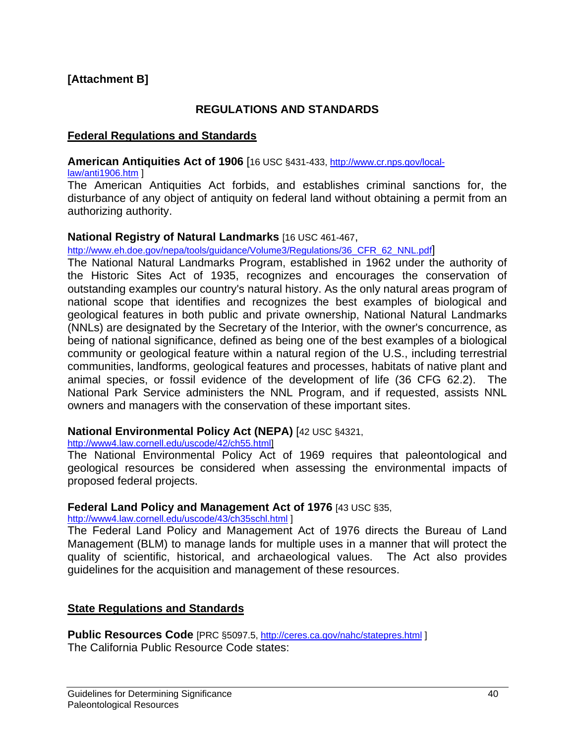#### **[Attachment B]**

#### **REGULATIONS AND STANDARDS**

#### **Federal Regulations and Standards**

#### **American Antiquities Act of 1906** [16 USC §431-433, http://www.cr.nps.gov/local-

#### law/anti1906.htm ]

The American Antiquities Act forbids, and establishes criminal sanctions for, the disturbance of any object of antiquity on federal land without obtaining a permit from an authorizing authority.

#### **National Registry of Natural Landmarks** [16 USC 461-467,

http://www.eh.doe.gov/nepa/tools/guidance/Volume3/Regulations/36\_CFR\_62\_NNL.pdf

The National Natural Landmarks Program, established in 1962 under the authority of the Historic Sites Act of 1935, recognizes and encourages the conservation of outstanding examples our country's natural history. As the only natural areas program of national scope that identifies and recognizes the best examples of biological and geological features in both public and private ownership, National Natural Landmarks (NNLs) are designated by the Secretary of the Interior, with the owner's concurrence, as being of national significance, defined as being one of the best examples of a biological community or geological feature within a natural region of the U.S., including terrestrial communities, landforms, geological features and processes, habitats of native plant and animal species, or fossil evidence of the development of life (36 CFG 62.2). The National Park Service administers the NNL Program, and if requested, assists NNL owners and managers with the conservation of these important sites.

#### **National Environmental Policy Act (NEPA)** [42 USC §4321,

http://www4.law.cornell.edu/uscode/42/ch55.html]

The National Environmental Policy Act of 1969 requires that paleontological and geological resources be considered when assessing the environmental impacts of proposed federal projects.

#### **Federal Land Policy and Management Act of 1976** [43 USC §35,

http://www4.law.cornell.edu/uscode/43/ch35schl.html ]

The Federal Land Policy and Management Act of 1976 directs the Bureau of Land Management (BLM) to manage lands for multiple uses in a manner that will protect the quality of scientific, historical, and archaeological values. The Act also provides guidelines for the acquisition and management of these resources.

#### **State Regulations and Standards**

**Public Resources Code** [PRC §5097.5, http://ceres.ca.gov/nahc/statepres.html ] The California Public Resource Code states: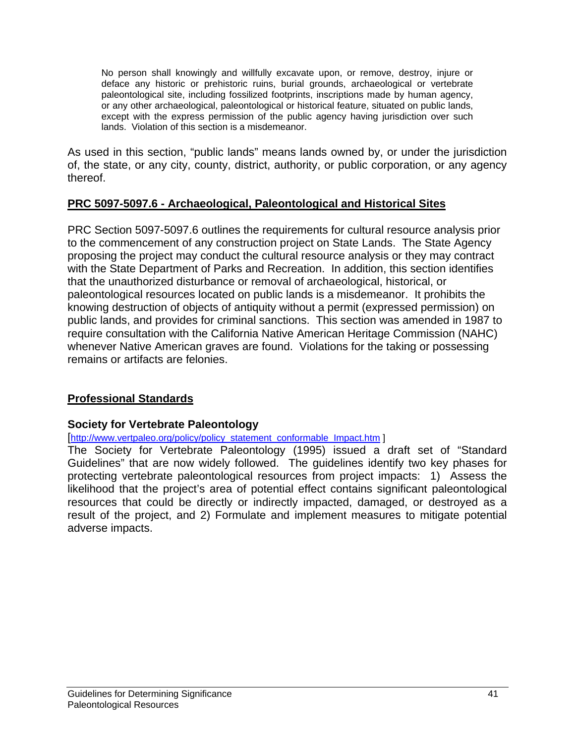No person shall knowingly and willfully excavate upon, or remove, destroy, injure or deface any historic or prehistoric ruins, burial grounds, archaeological or vertebrate paleontological site, including fossilized footprints, inscriptions made by human agency, or any other archaeological, paleontological or historical feature, situated on public lands, except with the express permission of the public agency having jurisdiction over such lands. Violation of this section is a misdemeanor.

As used in this section, "public lands" means lands owned by, or under the jurisdiction of, the state, or any city, county, district, authority, or public corporation, or any agency thereof.

### **PRC 5097-5097.6 - Archaeological, Paleontological and Historical Sites**

PRC Section 5097-5097.6 outlines the requirements for cultural resource analysis prior to the commencement of any construction project on State Lands. The State Agency proposing the project may conduct the cultural resource analysis or they may contract with the State Department of Parks and Recreation. In addition, this section identifies that the unauthorized disturbance or removal of archaeological, historical, or paleontological resources located on public lands is a misdemeanor. It prohibits the knowing destruction of objects of antiquity without a permit (expressed permission) on public lands, and provides for criminal sanctions. This section was amended in 1987 to require consultation with the California Native American Heritage Commission (NAHC) whenever Native American graves are found. Violations for the taking or possessing remains or artifacts are felonies.

### **Professional Standards**

#### **Society for Vertebrate Paleontology**

#### [http://www.vertpaleo.org/policy/policy\_statement\_conformable\_Impact.htm ]

The Society for Vertebrate Paleontology (1995) issued a draft set of "Standard Guidelines" that are now widely followed. The guidelines identify two key phases for protecting vertebrate paleontological resources from project impacts: 1) Assess the likelihood that the project's area of potential effect contains significant paleontological resources that could be directly or indirectly impacted, damaged, or destroyed as a result of the project, and 2) Formulate and implement measures to mitigate potential adverse impacts.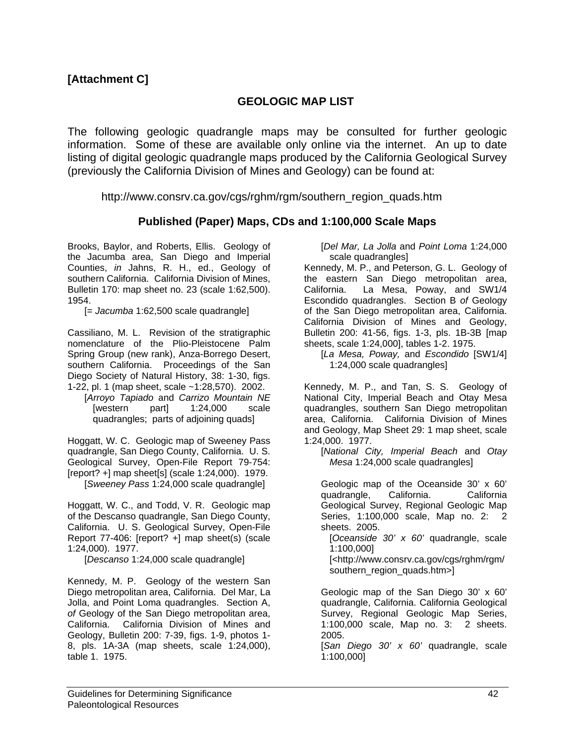#### **GEOLOGIC MAP LIST**

The following geologic quadrangle maps may be consulted for further geologic information. Some of these are available only online via the internet. An up to date listing of digital geologic quadrangle maps produced by the California Geological Survey (previously the California Division of Mines and Geology) can be found at:

http://www.consrv.ca.gov/cgs/rghm/rgm/southern\_region\_quads.htm

#### **Published (Paper) Maps, CDs and 1:100,000 Scale Maps**

Brooks, Baylor, and Roberts, Ellis. Geology of the Jacumba area, San Diego and Imperial Counties, *in* Jahns, R. H., ed., Geology of southern California. California Division of Mines, Bulletin 170: map sheet no. 23 (scale 1:62,500). 1954.

[= *Jacumba* 1:62,500 scale quadrangle]

Cassiliano, M. L. Revision of the stratigraphic nomenclature of the Plio-Pleistocene Palm Spring Group (new rank), Anza-Borrego Desert, southern California. Proceedings of the San Diego Society of Natural History, 38: 1-30, figs. 1-22, pl. 1 (map sheet, scale ~1:28,570). 2002.

 [*Arroyo Tapiado* and *Carrizo Mountain NE* [western part] 1:24,000 scale quadrangles; parts of adjoining quads]

Hoggatt, W. C. Geologic map of Sweeney Pass quadrangle, San Diego County, California. U. S. Geological Survey, Open-File Report 79-754: [report? +] map sheet[s] (scale 1:24,000). 1979. [*Sweeney Pass* 1:24,000 scale quadrangle]

Hoggatt, W. C., and Todd, V. R. Geologic map of the Descanso quadrangle, San Diego County, California. U. S. Geological Survey, Open-File Report 77-406: [report? +] map sheet(s) (scale 1:24,000). 1977.

[*Descanso* 1:24,000 scale quadrangle]

Kennedy, M. P. Geology of the western San Diego metropolitan area, California. Del Mar, La Jolla, and Point Loma quadrangles. Section A, *of* Geology of the San Diego metropolitan area, California. California Division of Mines and Geology, Bulletin 200: 7-39, figs. 1-9, photos 1- 8, pls. 1A-3A (map sheets, scale 1:24,000), table 1. 1975.

 [*Del Mar, La Jolla* and *Point Loma* 1:24,000 scale quadrangles]

Kennedy, M. P., and Peterson, G. L. Geology of the eastern San Diego metropolitan area, California. La Mesa, Poway, and SW1/4 Escondido quadrangles. Section B *of* Geology of the San Diego metropolitan area, California. California Division of Mines and Geology, Bulletin 200: 41-56, figs. 1-3, pls. 1B-3B [map sheets, scale 1:24,000], tables 1-2. 1975.

 [*La Mesa, Poway,* and *Escondido* [SW1/4] 1:24,000 scale quadrangles]

Kennedy, M. P., and Tan, S. S. Geology of National City, Imperial Beach and Otay Mesa quadrangles, southern San Diego metropolitan area, California. California Division of Mines and Geology, Map Sheet 29: 1 map sheet, scale 1:24,000. 1977.

 [*National City, Imperial Beach* and *Otay Mesa* 1:24,000 scale quadrangles]

 Geologic map of the Oceanside 30' x 60' quadrangle, California. California Geological Survey, Regional Geologic Map Series, 1:100,000 scale, Map no. 2: 2 sheets. 2005.

 [*Oceanside 30' x 60'* quadrangle, scale 1:100,000]

 [<http://www.consrv.ca.gov/cgs/rghm/rgm/ southern\_region\_quads.htm>]

 Geologic map of the San Diego 30' x 60' quadrangle, California. California Geological Survey, Regional Geologic Map Series, 1:100,000 scale, Map no. 3: 2 sheets. 2005.

 [*San Diego 30' x 60'* quadrangle, scale 1:100,000]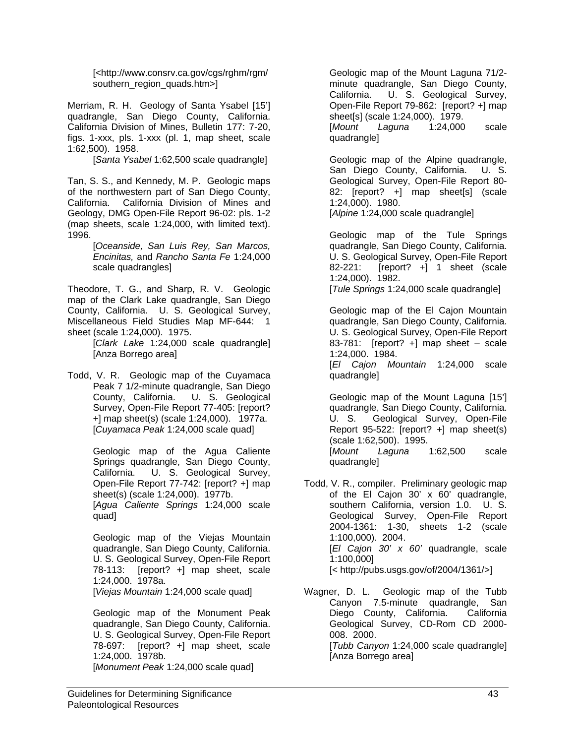[<http://www.consrv.ca.gov/cgs/rghm/rgm/ southern\_region\_quads.htm>]

Merriam, R. H. Geology of Santa Ysabel [15'] quadrangle, San Diego County, California. California Division of Mines, Bulletin 177: 7-20, figs. 1-xxx, pls. 1-xxx (pl. 1, map sheet, scale 1:62,500). 1958.

[*Santa Ysabel* 1:62,500 scale quadrangle]

Tan, S. S., and Kennedy, M. P. Geologic maps of the northwestern part of San Diego County, California. California Division of Mines and Geology, DMG Open-File Report 96-02: pls. 1-2 (map sheets, scale 1:24,000, with limited text). 1996.

> [*Oceanside, San Luis Rey, San Marcos, Encinitas,* and *Rancho Santa Fe* 1:24,000 scale quadrangles]

Theodore, T. G., and Sharp, R. V. Geologic map of the Clark Lake quadrangle, San Diego County, California. U. S. Geological Survey, Miscellaneous Field Studies Map MF-644: 1 sheet (scale 1:24,000). 1975.

 [*Clark Lake* 1:24,000 scale quadrangle] [Anza Borrego area]

Todd, V. R. Geologic map of the Cuyamaca Peak 7 1/2-minute quadrangle, San Diego County, California. U. S. Geological Survey, Open-File Report 77-405: [report? +] map sheet(s) (scale 1:24,000). 1977a. [*Cuyamaca Peak* 1:24,000 scale quad]

> Geologic map of the Agua Caliente Springs quadrangle, San Diego County, California. U. S. Geological Survey, Open-File Report 77-742: [report? +] map sheet(s) (scale 1:24,000). 1977b. [*Agua Caliente Springs* 1:24,000 scale quad]

> Geologic map of the Viejas Mountain quadrangle, San Diego County, California. U. S. Geological Survey, Open-File Report 78-113: [report? +] map sheet, scale 1:24,000. 1978a.

[*Viejas Mountain* 1:24,000 scale quad]

 Geologic map of the Monument Peak quadrangle, San Diego County, California. U. S. Geological Survey, Open-File Report 78-697: [report? +] map sheet, scale 1:24,000. 1978b.

[*Monument Peak* 1:24,000 scale quad]

 Geologic map of the Mount Laguna 71/2 minute quadrangle, San Diego County, California. U. S. Geological Survey, Open-File Report 79-862: [report? +] map sheet[s] (scale 1:24,000). 1979. [*Mount Laguna* 1:24,000 scale quadrangle]

 Geologic map of the Alpine quadrangle, San Diego County, California. U. S. Geological Survey, Open-File Report 80- 82: [report? +] map sheet[s] (scale 1:24,000). 1980.

[*Alpine* 1:24,000 scale quadrangle]

 Geologic map of the Tule Springs quadrangle, San Diego County, California. U. S. Geological Survey, Open-File Report 82-221: [report? +] 1 sheet (scale 1:24,000). 1982.

[*Tule Springs* 1:24,000 scale quadrangle]

 Geologic map of the El Cajon Mountain quadrangle, San Diego County, California. U. S. Geological Survey, Open-File Report 83-781: [report? +] map sheet – scale 1:24,000. 1984.

 [*El Cajon Mountain* 1:24,000 scale quadrangle]

 Geologic map of the Mount Laguna [15'] quadrangle, San Diego County, California. U. S. Geological Survey, Open-File Report 95-522: [report? +] map sheet(s) (scale 1:62,500). 1995. [*Mount Laguna* 1:62,500 scale quadrangle]

Todd, V. R., compiler. Preliminary geologic map of the El Cajon 30' x 60' quadrangle, southern California, version 1.0. U. S. Geological Survey, Open-File Report 2004-1361: 1-30, sheets 1-2 (scale 1:100,000). 2004. [*El Cajon 30' x 60'* quadrangle, scale 1:100,000] [< http://pubs.usgs.gov/of/2004/1361/>]

Wagner, D. L. Geologic map of the Tubb Canyon 7.5-minute quadrangle, San Diego County, California. California Geological Survey, CD-Rom CD 2000- 008. 2000. [*Tubb Canyon* 1:24,000 scale quadrangle] [Anza Borrego area]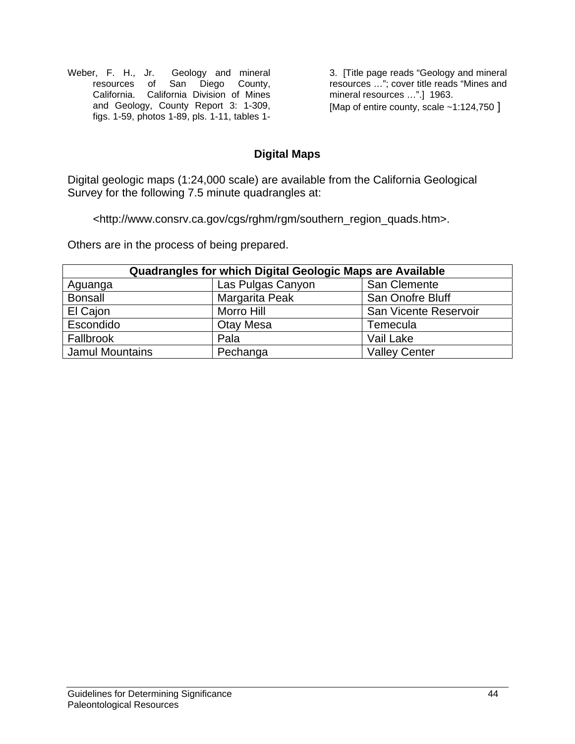Weber, F. H., Jr. Geology and mineral resources of San Diego County, California. California Division of Mines and Geology, County Report 3: 1-309, figs. 1-59, photos 1-89, pls. 1-11, tables 1-

3. [Title page reads "Geology and mineral resources …"; cover title reads "Mines and mineral resources ...".] 1963. [Map of entire county, scale ~1:124,750 ]

### **Digital Maps**

Digital geologic maps (1:24,000 scale) are available from the California Geological Survey for the following 7.5 minute quadrangles at:

<http://www.consrv.ca.gov/cgs/rghm/rgm/southern\_region\_quads.htm>.

Others are in the process of being prepared.

| Quadrangles for which Digital Geologic Maps are Available |                   |                       |  |
|-----------------------------------------------------------|-------------------|-----------------------|--|
| Aguanga                                                   | Las Pulgas Canyon | San Clemente          |  |
| <b>Bonsall</b>                                            | Margarita Peak    | San Onofre Bluff      |  |
| El Cajon                                                  | Morro Hill        | San Vicente Reservoir |  |
| Escondido                                                 | Otay Mesa         | Temecula              |  |
| Fallbrook                                                 | Pala              | Vail Lake             |  |
| <b>Jamul Mountains</b>                                    | Pechanga          | <b>Valley Center</b>  |  |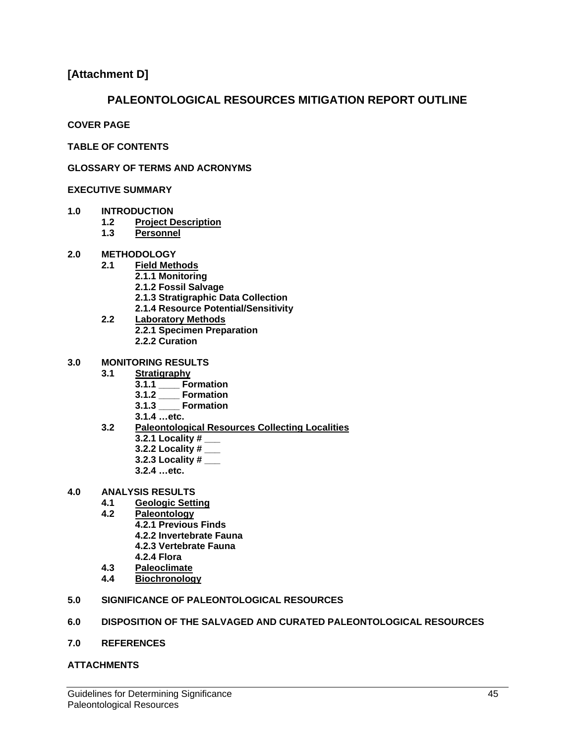#### **[Attachment D]**

#### **PALEONTOLOGICAL RESOURCES MITIGATION REPORT OUTLINE**

**COVER PAGE** 

**TABLE OF CONTENTS** 

**GLOSSARY OF TERMS AND ACRONYMS** 

#### **EXECUTIVE SUMMARY**

- **1.0 INTRODUCTION** 
	- **1.2 Project Description**
	- **1.3 Personnel**
- **2.0 METHODOLOGY**
	- **2.1 Field Methods**
		- **2.1.1 Monitoring**
		- **2.1.2 Fossil Salvage**
		- **2.1.3 Stratigraphic Data Collection**
		- **2.1.4 Resource Potential/Sensitivity**
	- **2.2 Laboratory Methods 2.2.1 Specimen Preparation 2.2.2 Curation**
		-
- **3.0 MONITORING RESULTS** 
	- **3.1 Stratigraphy**
		- **3.1.1 \_\_\_\_ Formation**
		- **3.1.2 \_\_\_\_ Formation**
		- **3.1.3 \_\_\_\_ Formation**
		- **3.1.4 …etc.**
	- **3.2 Paleontological Resources Collecting Localities**
		- **3.2.1 Locality # \_\_\_**
		- **3.2.2 Locality # \_\_\_**
		- **3.2.3 Locality # \_\_\_**
		- **3.2.4 …etc.**
- **4.0 ANALYSIS RESULTS**
	- **4.1 Geologic Setting**
	- **4.2 Paleontology**
		- **4.2.1 Previous Finds** 
			- **4.2.2 Invertebrate Fauna**
			- **4.2.3 Vertebrate Fauna**
		- **4.2.4 Flora**
	- **4.3 Paleoclimate**
	- **Biochronology**
- **5.0 SIGNIFICANCE OF PALEONTOLOGICAL RESOURCES**

#### **6.0 DISPOSITION OF THE SALVAGED AND CURATED PALEONTOLOGICAL RESOURCES**

**7.0 REFERENCES**

#### **ATTACHMENTS**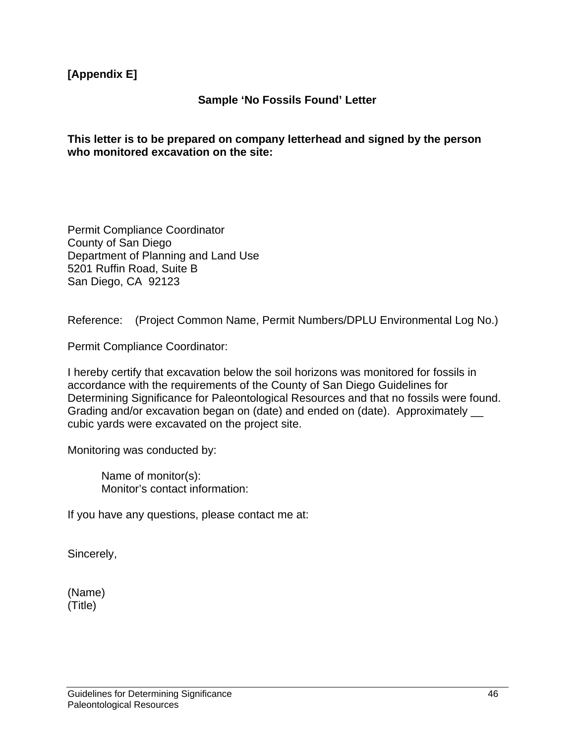**[Appendix E]** 

#### **Sample 'No Fossils Found' Letter**

#### **This letter is to be prepared on company letterhead and signed by the person who monitored excavation on the site:**

Permit Compliance Coordinator County of San Diego Department of Planning and Land Use 5201 Ruffin Road, Suite B San Diego, CA 92123

Reference: (Project Common Name, Permit Numbers/DPLU Environmental Log No.)

Permit Compliance Coordinator:

I hereby certify that excavation below the soil horizons was monitored for fossils in accordance with the requirements of the County of San Diego Guidelines for Determining Significance for Paleontological Resources and that no fossils were found. Grading and/or excavation began on (date) and ended on (date). Approximately  $\_\_$ cubic yards were excavated on the project site.

Monitoring was conducted by:

Name of monitor(s): Monitor's contact information:

If you have any questions, please contact me at:

Sincerely,

(Name) (Title)